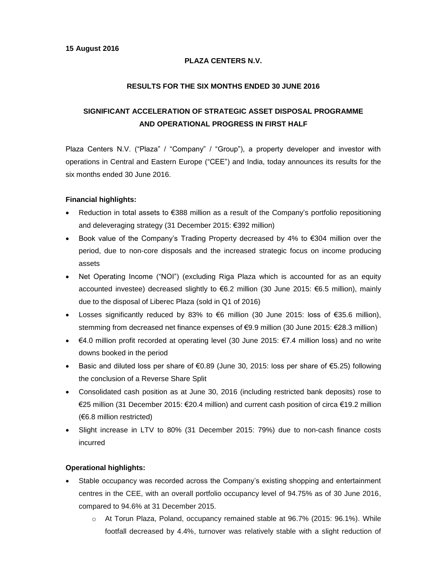## **PLAZA CENTERS N.V.**

### **RESULTS FOR THE SIX MONTHS ENDED 30 JUNE 2016**

# **SIGNIFICANT ACCELERATION OF STRATEGIC ASSET DISPOSAL PROGRAMME AND OPERATIONAL PROGRESS IN FIRST HALF**

Plaza Centers N.V. ("Plaza" / "Company" / "Group"), a property developer and investor with operations in Central and Eastern Europe ("CEE") and India, today announces its results for the six months ended 30 June 2016.

#### **Financial highlights:**

- Reduction in total assets to €388 million as a result of the Company's portfolio repositioning and deleveraging strategy (31 December 2015: €392 million)
- Book value of the Company's Trading Property decreased by 4% to  $€304$  million over the period, due to non-core disposals and the increased strategic focus on income producing assets
- Net Operating Income ("NOI") (excluding Riga Plaza which is accounted for as an equity accounted investee) decreased slightly to €6.2 million (30 June 2015: €6.5 million), mainly due to the disposal of Liberec Plaza (sold in Q1 of 2016)
- Losses significantly reduced by 83% to €6 million (30 June 2015: loss of €35.6 million), stemming from decreased net finance expenses of €9.9 million (30 June 2015: €28.3 million)
- $\bullet$  €4.0 million profit recorded at operating level (30 June 2015: €7.4 million loss) and no write downs booked in the period
- Basic and diluted loss per share of €0.89 (June 30, 2015: loss per share of €5.25) following the conclusion of a Reverse Share Split
- Consolidated cash position as at June 30, 2016 (including restricted bank deposits) rose to €25 million (31 December 2015: €20.4 million) and current cash position of circa €19.2 million (€6.8 million restricted)
- Slight increase in LTV to 80% (31 December 2015: 79%) due to non-cash finance costs incurred

### **Operational highlights:**

- Stable occupancy was recorded across the Company's existing shopping and entertainment centres in the CEE, with an overall portfolio occupancy level of 94.75% as of 30 June 2016, compared to 94.6% at 31 December 2015.
	- o At Torun Plaza, Poland, occupancy remained stable at 96.7% (2015: 96.1%). While footfall decreased by 4.4%, turnover was relatively stable with a slight reduction of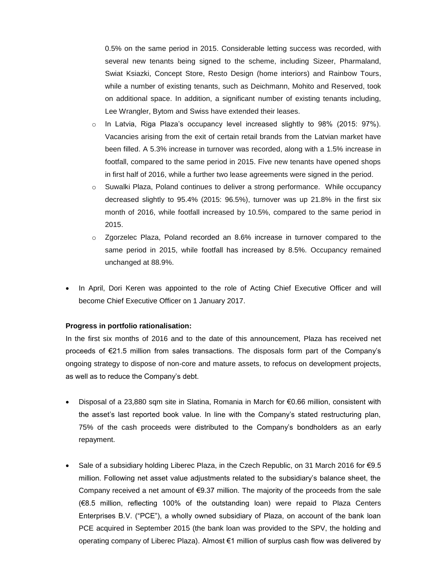0.5% on the same period in 2015. Considerable letting success was recorded, with several new tenants being signed to the scheme, including Sizeer, Pharmaland, Swiat Ksiazki, Concept Store, Resto Design (home interiors) and Rainbow Tours, while a number of existing tenants, such as Deichmann, Mohito and Reserved, took on additional space. In addition, a significant number of existing tenants including, Lee Wrangler, Bytom and Swiss have extended their leases.

- o In Latvia, Riga Plaza's occupancy level increased slightly to 98% (2015: 97%). Vacancies arising from the exit of certain retail brands from the Latvian market have been filled. A 5.3% increase in turnover was recorded, along with a 1.5% increase in footfall, compared to the same period in 2015. Five new tenants have opened shops in first half of 2016, while a further two lease agreements were signed in the period.
- o Suwalki Plaza, Poland continues to deliver a strong performance. While occupancy decreased slightly to 95.4% (2015: 96.5%), turnover was up 21.8% in the first six month of 2016, while footfall increased by 10.5%, compared to the same period in 2015.
- o Zgorzelec Plaza, Poland recorded an 8.6% increase in turnover compared to the same period in 2015, while footfall has increased by 8.5%. Occupancy remained unchanged at 88.9%.
- In April, Dori Keren was appointed to the role of Acting Chief Executive Officer and will become Chief Executive Officer on 1 January 2017.

#### **Progress in portfolio rationalisation:**

In the first six months of 2016 and to the date of this announcement, Plaza has received net proceeds of €21.5 million from sales transactions. The disposals form part of the Company's ongoing strategy to dispose of non-core and mature assets, to refocus on development projects, as well as to reduce the Company's debt.

- Disposal of a 23,880 sqm site in Slatina, Romania in March for €0.66 million, consistent with the asset's last reported book value. In line with the Company's stated restructuring plan, 75% of the cash proceeds were distributed to the Company's bondholders as an early repayment.
- Sale of a subsidiary holding Liberec Plaza, in the Czech Republic, on 31 March 2016 for €9.5 million. Following net asset value adjustments related to the subsidiary's balance sheet, the Company received a net amount of  $\epsilon$ 9.37 million. The majority of the proceeds from the sale (€8.5 million, reflecting 100% of the outstanding loan) were repaid to Plaza Centers Enterprises B.V. ("PCE"), a wholly owned subsidiary of Plaza, on account of the bank loan PCE acquired in September 2015 (the bank loan was provided to the SPV, the holding and operating company of Liberec Plaza). Almost €1 million of surplus cash flow was delivered by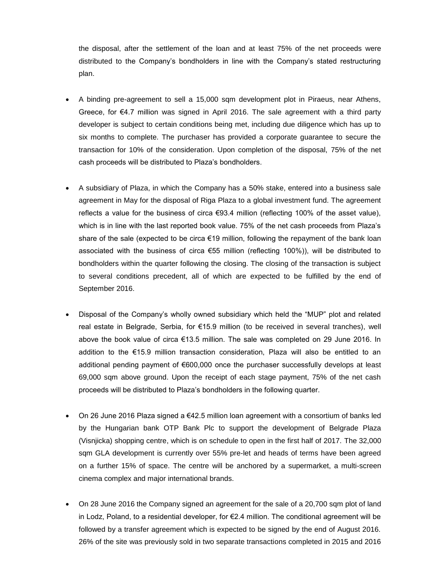the disposal, after the settlement of the loan and at least 75% of the net proceeds were distributed to the Company's bondholders in line with the Company's stated restructuring plan.

- A binding pre-agreement to sell a 15,000 sqm development plot in Piraeus, near Athens, Greece, for €4.7 million was signed in April 2016. The sale agreement with a third party developer is subject to certain conditions being met, including due diligence which has up to six months to complete. The purchaser has provided a corporate guarantee to secure the transaction for 10% of the consideration. Upon completion of the disposal, 75% of the net cash proceeds will be distributed to Plaza's bondholders.
- A subsidiary of Plaza, in which the Company has a 50% stake, entered into a business sale agreement in May for the disposal of Riga Plaza to a global investment fund. The agreement reflects a value for the business of circa €93.4 million (reflecting 100% of the asset value), which is in line with the last reported book value. 75% of the net cash proceeds from Plaza's share of the sale (expected to be circa €19 million, following the repayment of the bank loan associated with the business of circa €55 million (reflecting 100%)), will be distributed to bondholders within the quarter following the closing. The closing of the transaction is subject to several conditions precedent, all of which are expected to be fulfilled by the end of September 2016.
- Disposal of the Company's wholly owned subsidiary which held the "MUP" plot and related real estate in Belgrade, Serbia, for €15.9 million (to be received in several tranches), well above the book value of circa €13.5 million. The sale was completed on 29 June 2016. In addition to the €15.9 million transaction consideration, Plaza will also be entitled to an additional pending payment of €600,000 once the purchaser successfully develops at least 69,000 sqm above ground. Upon the receipt of each stage payment, 75% of the net cash proceeds will be distributed to Plaza's bondholders in the following quarter.
- On 26 June 2016 Plaza signed a €42.5 million loan agreement with a consortium of banks led by the Hungarian bank OTP Bank Plc to support the development of Belgrade Plaza (Visnjicka) shopping centre, which is on schedule to open in the first half of 2017. The 32,000 sqm GLA development is currently over 55% pre-let and heads of terms have been agreed on a further 15% of space. The centre will be anchored by a supermarket, a multi-screen cinema complex and major international brands.
- On 28 June 2016 the Company signed an agreement for the sale of a 20,700 sqm plot of land in Lodz, Poland, to a residential developer, for €2.4 million. The conditional agreement will be followed by a transfer agreement which is expected to be signed by the end of August 2016. 26% of the site was previously sold in two separate transactions completed in 2015 and 2016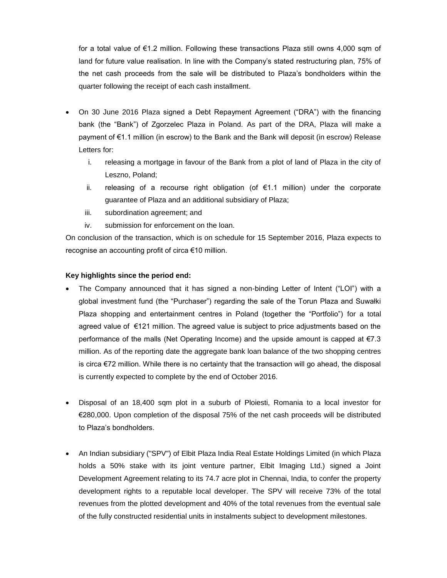for a total value of €1.2 million. Following these transactions Plaza still owns 4,000 sqm of land for future value realisation. In line with the Company's stated restructuring plan, 75% of the net cash proceeds from the sale will be distributed to Plaza's bondholders within the quarter following the receipt of each cash installment.

- On 30 June 2016 Plaza signed a Debt Repayment Agreement ("DRA") with the financing bank (the "Bank") of Zgorzelec Plaza in Poland. As part of the DRA, Plaza will make a payment of €1.1 million (in escrow) to the Bank and the Bank will deposit (in escrow) Release Letters for:
	- i. releasing a mortgage in favour of the Bank from a plot of land of Plaza in the city of Leszno, Poland;
	- ii. releasing of a recourse right obligation (of €1.1 million) under the corporate guarantee of Plaza and an additional subsidiary of Plaza;
	- iii. subordination agreement; and
	- iv. submission for enforcement on the loan.

On conclusion of the transaction, which is on schedule for 15 September 2016, Plaza expects to recognise an accounting profit of circa €10 million.

### **Key highlights since the period end:**

- The Company announced that it has signed a non-binding Letter of Intent ("LOI") with a global investment fund (the "Purchaser") regarding the sale of the Torun Plaza and Suwałki Plaza shopping and entertainment centres in Poland (together the "Portfolio") for a total agreed value of €121 million. The agreed value is subject to price adjustments based on the performance of the malls (Net Operating Income) and the upside amount is capped at  $\epsilon$ 7.3 million. As of the reporting date the aggregate bank loan balance of the two shopping centres is circa  $\epsilon$ 72 million. While there is no certainty that the transaction will go ahead, the disposal is currently expected to complete by the end of October 2016.
- Disposal of an 18,400 sqm plot in a suburb of Ploiesti, Romania to a local investor for €280,000. Upon completion of the disposal 75% of the net cash proceeds will be distributed to Plaza's bondholders.
- An Indian subsidiary ("SPV") of Elbit Plaza India Real Estate Holdings Limited (in which Plaza holds a 50% stake with its joint venture partner, Elbit Imaging Ltd.) signed a Joint Development Agreement relating to its 74.7 acre plot in Chennai, India, to confer the property development rights to a reputable local developer. The SPV will receive 73% of the total revenues from the plotted development and 40% of the total revenues from the eventual sale of the fully constructed residential units in instalments subject to development milestones.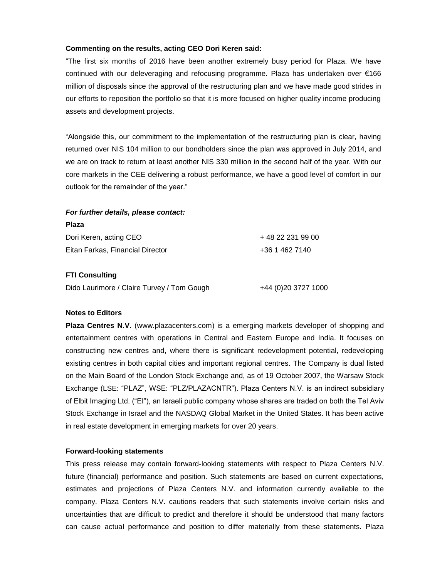#### **Commenting on the results, acting CEO Dori Keren said:**

"The first six months of 2016 have been another extremely busy period for Plaza. We have continued with our deleveraging and refocusing programme. Plaza has undertaken over €166 million of disposals since the approval of the restructuring plan and we have made good strides in our efforts to reposition the portfolio so that it is more focused on higher quality income producing assets and development projects.

"Alongside this, our commitment to the implementation of the restructuring plan is clear, having returned over NIS 104 million to our bondholders since the plan was approved in July 2014, and we are on track to return at least another NIS 330 million in the second half of the year. With our core markets in the CEE delivering a robust performance, we have a good level of comfort in our outlook for the remainder of the year."

#### *For further details, please contact:*

| <b>Plaza</b>                     |                   |
|----------------------------------|-------------------|
| Dori Keren, acting CEO           | + 48 22 231 99 00 |
| Eitan Farkas. Financial Director | +36 1 462 7140    |

#### **FTI Consulting**

|  |  | Dido Laurimore / Claire Turvey / Tom Gough | +44 (0)20 3727 1000 |
|--|--|--------------------------------------------|---------------------|
|--|--|--------------------------------------------|---------------------|

#### **Notes to Editors**

**Plaza Centres N.V.** (www.plazacenters.com) is a emerging markets developer of shopping and entertainment centres with operations in Central and Eastern Europe and India. It focuses on constructing new centres and, where there is significant redevelopment potential, redeveloping existing centres in both capital cities and important regional centres. The Company is dual listed on the Main Board of the London Stock Exchange and, as of 19 October 2007, the Warsaw Stock Exchange (LSE: "PLAZ", WSE: "PLZ/PLAZACNTR"). Plaza Centers N.V. is an indirect subsidiary of Elbit Imaging Ltd. ("EI"), an Israeli public company whose shares are traded on both the Tel Aviv Stock Exchange in Israel and the NASDAQ Global Market in the United States. It has been active in real estate development in emerging markets for over 20 years.

#### **Forward-looking statements**

This press release may contain forward-looking statements with respect to Plaza Centers N.V. future (financial) performance and position. Such statements are based on current expectations, estimates and projections of Plaza Centers N.V. and information currently available to the company. Plaza Centers N.V. cautions readers that such statements involve certain risks and uncertainties that are difficult to predict and therefore it should be understood that many factors can cause actual performance and position to differ materially from these statements. Plaza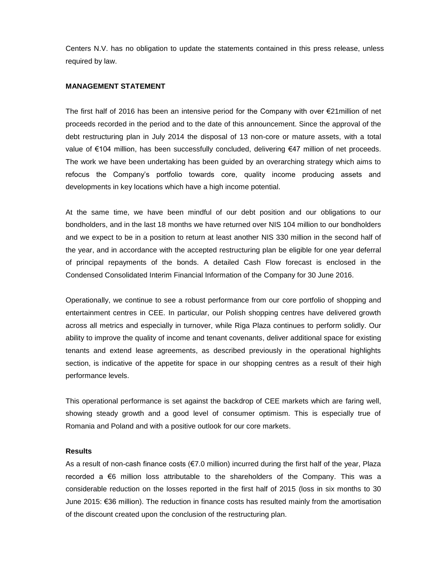Centers N.V. has no obligation to update the statements contained in this press release, unless required by law.

#### **MANAGEMENT STATEMENT**

The first half of 2016 has been an intensive period for the Company with over €21million of net proceeds recorded in the period and to the date of this announcement. Since the approval of the debt restructuring plan in July 2014 the disposal of 13 non-core or mature assets, with a total value of €104 million, has been successfully concluded, delivering €47 million of net proceeds. The work we have been undertaking has been guided by an overarching strategy which aims to refocus the Company's portfolio towards core, quality income producing assets and developments in key locations which have a high income potential.

At the same time, we have been mindful of our debt position and our obligations to our bondholders, and in the last 18 months we have returned over NIS 104 million to our bondholders and we expect to be in a position to return at least another NIS 330 million in the second half of the year, and in accordance with the accepted restructuring plan be eligible for one year deferral of principal repayments of the bonds. A detailed Cash Flow forecast is enclosed in the Condensed Consolidated Interim Financial Information of the Company for 30 June 2016.

Operationally, we continue to see a robust performance from our core portfolio of shopping and entertainment centres in CEE. In particular, our Polish shopping centres have delivered growth across all metrics and especially in turnover, while Riga Plaza continues to perform solidly. Our ability to improve the quality of income and tenant covenants, deliver additional space for existing tenants and extend lease agreements, as described previously in the operational highlights section, is indicative of the appetite for space in our shopping centres as a result of their high performance levels.

This operational performance is set against the backdrop of CEE markets which are faring well, showing steady growth and a good level of consumer optimism. This is especially true of Romania and Poland and with a positive outlook for our core markets.

#### **Results**

As a result of non-cash finance costs (€7.0 million) incurred during the first half of the year, Plaza recorded a €6 million loss attributable to the shareholders of the Company. This was a considerable reduction on the losses reported in the first half of 2015 (loss in six months to 30 June 2015: €36 million). The reduction in finance costs has resulted mainly from the amortisation of the discount created upon the conclusion of the restructuring plan.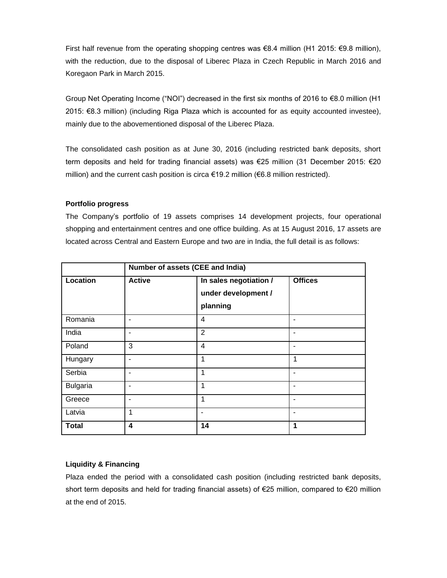First half revenue from the operating shopping centres was €8.4 million (H1 2015: €9.8 million), with the reduction, due to the disposal of Liberec Plaza in Czech Republic in March 2016 and Koregaon Park in March 2015.

Group Net Operating Income ("NOI") decreased in the first six months of 2016 to €8.0 million (H1 2015: €8.3 million) (including Riga Plaza which is accounted for as equity accounted investee), mainly due to the abovementioned disposal of the Liberec Plaza.

The consolidated cash position as at June 30, 2016 (including restricted bank deposits, short term deposits and held for trading financial assets) was €25 million (31 December 2015: €20 million) and the current cash position is circa €19.2 million (€6.8 million restricted).

#### **Portfolio progress**

The Company's portfolio of 19 assets comprises 14 development projects, four operational shopping and entertainment centres and one office building. As at 15 August 2016, 17 assets are located across Central and Eastern Europe and two are in India, the full detail is as follows:

|                 | Number of assets (CEE and India) |                                                           |                |
|-----------------|----------------------------------|-----------------------------------------------------------|----------------|
| Location        | <b>Active</b>                    | In sales negotiation /<br>under development /<br>planning | <b>Offices</b> |
| Romania         |                                  | 4                                                         | ۰              |
| India           |                                  | $\overline{2}$                                            | ۰              |
| Poland          | 3                                | $\overline{4}$                                            | ٠              |
| Hungary         |                                  | 1                                                         | 1              |
| Serbia          |                                  | 1                                                         | ٠              |
| <b>Bulgaria</b> |                                  | 1                                                         | ۰              |
| Greece          |                                  | 1                                                         | ۰              |
| Latvia          |                                  | ٠                                                         | ۰              |
| <b>Total</b>    | $\overline{\mathbf{4}}$          | 14                                                        | 1              |

### **Liquidity & Financing**

Plaza ended the period with a consolidated cash position (including restricted bank deposits, short term deposits and held for trading financial assets) of €25 million, compared to €20 million at the end of 2015.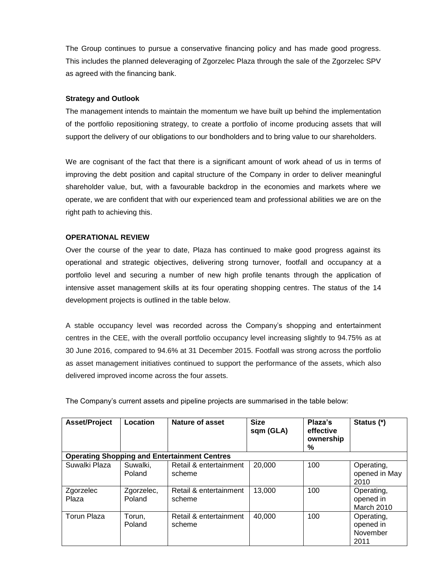The Group continues to pursue a conservative financing policy and has made good progress. This includes the planned deleveraging of Zgorzelec Plaza through the sale of the Zgorzelec SPV as agreed with the financing bank.

#### **Strategy and Outlook**

The management intends to maintain the momentum we have built up behind the implementation of the portfolio repositioning strategy, to create a portfolio of income producing assets that will support the delivery of our obligations to our bondholders and to bring value to our shareholders.

We are cognisant of the fact that there is a significant amount of work ahead of us in terms of improving the debt position and capital structure of the Company in order to deliver meaningful shareholder value, but, with a favourable backdrop in the economies and markets where we operate, we are confident that with our experienced team and professional abilities we are on the right path to achieving this.

#### **OPERATIONAL REVIEW**

Over the course of the year to date, Plaza has continued to make good progress against its operational and strategic objectives, delivering strong turnover, footfall and occupancy at a portfolio level and securing a number of new high profile tenants through the application of intensive asset management skills at its four operating shopping centres. The status of the 14 development projects is outlined in the table below.

A stable occupancy level was recorded across the Company's shopping and entertainment centres in the CEE, with the overall portfolio occupancy level increasing slightly to 94.75% as at 30 June 2016, compared to 94.6% at 31 December 2015. Footfall was strong across the portfolio as asset management initiatives continued to support the performance of the assets, which also delivered improved income across the four assets.

| <b>Asset/Project</b> | Location             | Nature of asset                                     | <b>Size</b><br>sqm (GLA) | Plaza's<br>effective<br>ownership<br>% | Status (*)                                  |
|----------------------|----------------------|-----------------------------------------------------|--------------------------|----------------------------------------|---------------------------------------------|
|                      |                      | <b>Operating Shopping and Entertainment Centres</b> |                          |                                        |                                             |
| Suwalki Plaza        | Suwalki,<br>Poland   | Retail & entertainment<br>scheme                    | 20,000                   | 100                                    | Operating,<br>opened in May<br>2010         |
| Zgorzelec<br>Plaza   | Zgorzelec,<br>Poland | Retail & entertainment<br>scheme                    | 13,000                   | 100                                    | Operating,<br>opened in<br>March 2010       |
| Torun Plaza          | Torun,<br>Poland     | Retail & entertainment<br>scheme                    | 40,000                   | 100                                    | Operating,<br>opened in<br>November<br>2011 |

The Company's current assets and pipeline projects are summarised in the table below: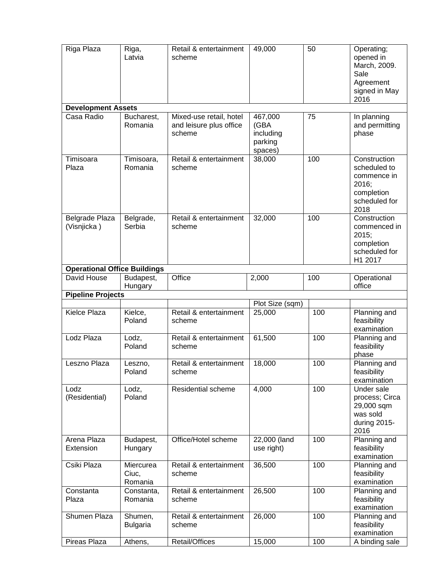| Riga Plaza                          | Riga,<br>Latvia               | Retail & entertainment<br>scheme                             | 49,000                                             | 50  | Operating;<br>opened in<br>March, 2009.<br>Sale<br>Agreement<br>signed in May<br>2016       |
|-------------------------------------|-------------------------------|--------------------------------------------------------------|----------------------------------------------------|-----|---------------------------------------------------------------------------------------------|
| <b>Development Assets</b>           |                               |                                                              |                                                    |     |                                                                                             |
| Casa Radio                          | Bucharest,<br>Romania         | Mixed-use retail, hotel<br>and leisure plus office<br>scheme | 467,000<br>(GBA<br>including<br>parking<br>spaces) | 75  | In planning<br>and permitting<br>phase                                                      |
| Timisoara<br>Plaza                  | Timisoara,<br>Romania         | Retail & entertainment<br>scheme                             | 38,000                                             | 100 | Construction<br>scheduled to<br>commence in<br>2016;<br>completion<br>scheduled for<br>2018 |
| Belgrade Plaza<br>(Visnjicka)       | Belgrade,<br>Serbia           | Retail & entertainment<br>scheme                             | 32,000                                             | 100 | Construction<br>commenced in<br>2015;<br>completion<br>scheduled for<br>H1 2017             |
| <b>Operational Office Buildings</b> |                               |                                                              |                                                    |     |                                                                                             |
| David House                         | Budapest,<br>Hungary          | Office                                                       | 2,000                                              | 100 | Operational<br>office                                                                       |
| <b>Pipeline Projects</b>            |                               |                                                              |                                                    |     |                                                                                             |
|                                     |                               |                                                              | Plot Size (sqm)                                    |     |                                                                                             |
| Kielce Plaza                        | Kielce,<br>Poland             | Retail & entertainment<br>scheme                             | 25,000                                             | 100 | Planning and<br>feasibility<br>examination                                                  |
| Lodz Plaza                          | Lodz,<br>Poland               | Retail & entertainment<br>scheme                             | 61,500                                             | 100 | Planning and<br>feasibility<br>phase                                                        |
| Leszno Plaza                        | Leszno,<br>Poland             | Retail & entertainment<br>scheme                             | 18,000                                             | 100 | Planning and<br>feasibility<br>examination                                                  |
| Lodz<br>(Residential)               | Lodz,<br>Poland               | Residential scheme                                           | 4,000                                              | 100 | Under sale<br>process; Circa<br>29,000 sqm<br>was sold<br>during 2015-<br>2016              |
| Arena Plaza<br>Extension            | Budapest,<br>Hungary          | Office/Hotel scheme                                          | 22,000 (land<br>use right)                         | 100 | Planning and<br>feasibility<br>examination                                                  |
| Csiki Plaza                         | Miercurea<br>Ciuc,<br>Romania | Retail & entertainment<br>scheme                             | 36,500                                             | 100 | Planning and<br>feasibility<br>examination                                                  |
| Constanta<br>Plaza                  | Constanta,<br>Romania         | Retail & entertainment<br>scheme                             | 26,500                                             | 100 | Planning and<br>feasibility<br>examination                                                  |
| Shumen Plaza                        | Shumen,<br><b>Bulgaria</b>    | Retail & entertainment<br>scheme                             | 26,000                                             | 100 | Planning and<br>feasibility<br>examination                                                  |
| Pireas Plaza                        | Athens,                       | Retail/Offices                                               | 15,000                                             | 100 | A binding sale                                                                              |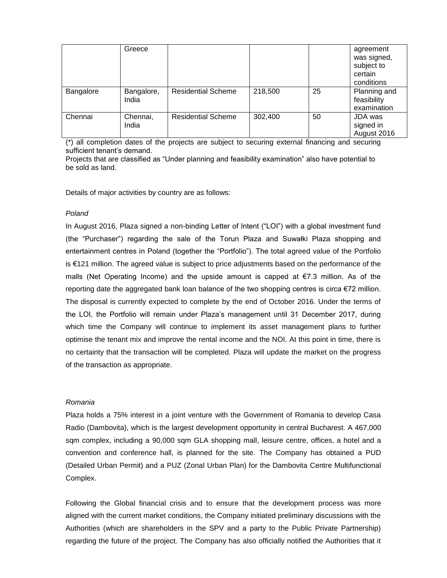|           | Greece              |                           |         |    | agreement<br>was signed,<br>subject to<br>certain<br>conditions |
|-----------|---------------------|---------------------------|---------|----|-----------------------------------------------------------------|
| Bangalore | Bangalore,<br>India | <b>Residential Scheme</b> | 218,500 | 25 | Planning and<br>feasibility<br>examination                      |
| Chennai   | Chennai,<br>India   | <b>Residential Scheme</b> | 302,400 | 50 | JDA was<br>signed in<br>August 2016                             |

(\*) all completion dates of the projects are subject to securing external financing and securing sufficient tenant's demand.

Projects that are classified as "Under planning and feasibility examination" also have potential to be sold as land.

Details of major activities by country are as follows:

#### *Poland*

In August 2016, Plaza signed a non-binding Letter of Intent ("LOI") with a global investment fund (the "Purchaser") regarding the sale of the Torun Plaza and Suwałki Plaza shopping and entertainment centres in Poland (together the "Portfolio"). The total agreed value of the Portfolio is €121 million. The agreed value is subject to price adjustments based on the performance of the malls (Net Operating Income) and the upside amount is capped at €7.3 million. As of the reporting date the aggregated bank loan balance of the two shopping centres is circa €72 million. The disposal is currently expected to complete by the end of October 2016. Under the terms of the LOI, the Portfolio will remain under Plaza's management until 31 December 2017, during which time the Company will continue to implement its asset management plans to further optimise the tenant mix and improve the rental income and the NOI. At this point in time, there is no certainty that the transaction will be completed. Plaza will update the market on the progress of the transaction as appropriate.

#### *Romania*

Plaza holds a 75% interest in a joint venture with the Government of Romania to develop Casa Radio (Dambovita), which is the largest development opportunity in central Bucharest. A 467,000 sqm complex, including a 90,000 sqm GLA shopping mall, leisure centre, offices, a hotel and a convention and conference hall, is planned for the site. The Company has obtained a PUD (Detailed Urban Permit) and a PUZ (Zonal Urban Plan) for the Dambovita Centre Multifunctional Complex.

Following the Global financial crisis and to ensure that the development process was more aligned with the current market conditions, the Company initiated preliminary discussions with the Authorities (which are shareholders in the SPV and a party to the Public Private Partnership) regarding the future of the project. The Company has also officially notified the Authorities that it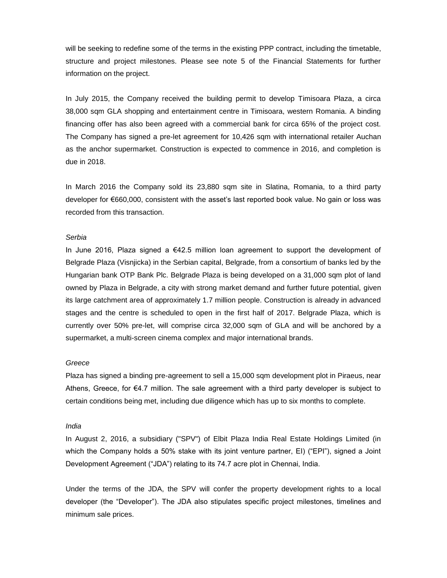will be seeking to redefine some of the terms in the existing PPP contract, including the timetable, structure and project milestones. Please see note 5 of the Financial Statements for further information on the project.

In July 2015, the Company received the building permit to develop Timisoara Plaza, a circa 38,000 sqm GLA shopping and entertainment centre in Timisoara, western Romania. A binding financing offer has also been agreed with a commercial bank for circa 65% of the project cost. The Company has signed a pre-let agreement for 10,426 sqm with international retailer Auchan as the anchor supermarket. Construction is expected to commence in 2016, and completion is due in 2018.

In March 2016 the Company sold its 23,880 sqm site in Slatina, Romania, to a third party developer for €660,000, consistent with the asset's last reported book value. No gain or loss was recorded from this transaction.

#### *Serbia*

In June 2016, Plaza signed a  $€42.5$  million loan agreement to support the development of Belgrade Plaza (Visnjicka) in the Serbian capital, Belgrade, from a consortium of banks led by the Hungarian bank OTP Bank Plc. Belgrade Plaza is being developed on a 31,000 sqm plot of land owned by Plaza in Belgrade, a city with strong market demand and further future potential, given its large catchment area of approximately 1.7 million people. Construction is already in advanced stages and the centre is scheduled to open in the first half of 2017. Belgrade Plaza, which is currently over 50% pre-let, will comprise circa 32,000 sqm of GLA and will be anchored by a supermarket, a multi-screen cinema complex and major international brands.

#### *Greece*

Plaza has signed a binding pre-agreement to sell a 15,000 sqm development plot in Piraeus, near Athens, Greece, for €4.7 million. The sale agreement with a third party developer is subject to certain conditions being met, including due diligence which has up to six months to complete.

#### *India*

In August 2, 2016, a subsidiary ("SPV") of Elbit Plaza India Real Estate Holdings Limited (in which the Company holds a 50% stake with its joint venture partner, EI) ("EPI"), signed a Joint Development Agreement ("JDA") relating to its 74.7 acre plot in Chennai, India.

Under the terms of the JDA, the SPV will confer the property development rights to a local developer (the "Developer"). The JDA also stipulates specific project milestones, timelines and minimum sale prices.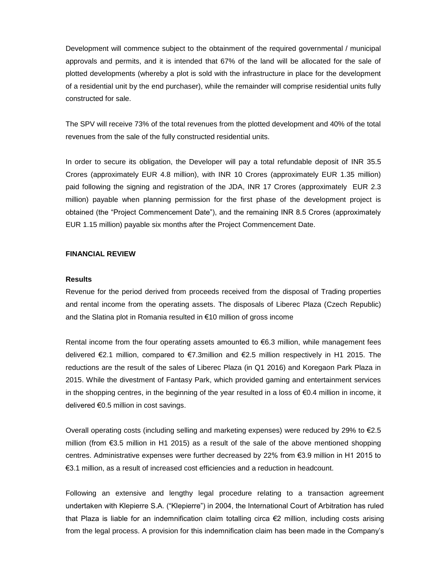Development will commence subject to the obtainment of the required governmental / municipal approvals and permits, and it is intended that 67% of the land will be allocated for the sale of plotted developments (whereby a plot is sold with the infrastructure in place for the development of a residential unit by the end purchaser), while the remainder will comprise residential units fully constructed for sale.

The SPV will receive 73% of the total revenues from the plotted development and 40% of the total revenues from the sale of the fully constructed residential units.

In order to secure its obligation, the Developer will pay a total refundable deposit of INR 35.5 Crores (approximately EUR 4.8 million), with INR 10 Crores (approximately EUR 1.35 million) paid following the signing and registration of the JDA, INR 17 Crores (approximately EUR 2.3 million) payable when planning permission for the first phase of the development project is obtained (the "Project Commencement Date"), and the remaining INR 8.5 Crores (approximately EUR 1.15 million) payable six months after the Project Commencement Date.

#### **FINANCIAL REVIEW**

#### **Results**

Revenue for the period derived from proceeds received from the disposal of Trading properties and rental income from the operating assets. The disposals of Liberec Plaza (Czech Republic) and the Slatina plot in Romania resulted in €10 million of gross income

Rental income from the four operating assets amounted to  $\epsilon$ 6.3 million, while management fees delivered €2.1 million, compared to €7.3million and €2.5 million respectively in H1 2015. The reductions are the result of the sales of Liberec Plaza (in Q1 2016) and Koregaon Park Plaza in 2015. While the divestment of Fantasy Park, which provided gaming and entertainment services in the shopping centres, in the beginning of the year resulted in a loss of  $\epsilon$ 0.4 million in income, it delivered €0.5 million in cost savings.

Overall operating costs (including selling and marketing expenses) were reduced by 29% to €2.5 million (from €3.5 million in H1 2015) as a result of the sale of the above mentioned shopping centres. Administrative expenses were further decreased by 22% from €3.9 million in H1 2015 to €3.1 million, as a result of increased cost efficiencies and a reduction in headcount.

Following an extensive and lengthy legal procedure relating to a transaction agreement undertaken with Klepierre S.A. ("Klepierre") in 2004, the International Court of Arbitration has ruled that Plaza is liable for an indemnification claim totalling circa €2 million, including costs arising from the legal process. A provision for this indemnification claim has been made in the Company's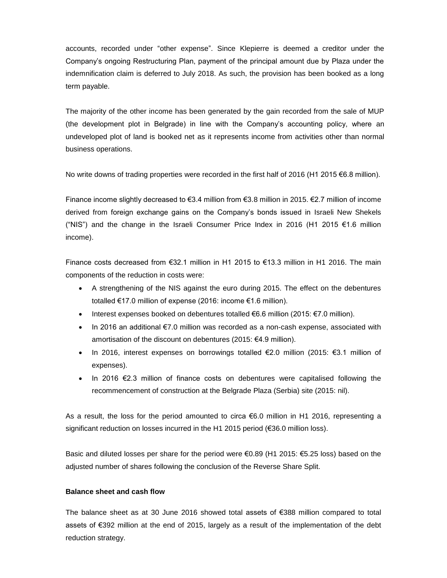accounts, recorded under "other expense". Since Klepierre is deemed a creditor under the Company's ongoing Restructuring Plan, payment of the principal amount due by Plaza under the indemnification claim is deferred to July 2018. As such, the provision has been booked as a long term payable.

The majority of the other income has been generated by the gain recorded from the sale of MUP (the development plot in Belgrade) in line with the Company's accounting policy, where an undeveloped plot of land is booked net as it represents income from activities other than normal business operations.

No write downs of trading properties were recorded in the first half of 2016 (H1 2015 €6.8 million).

Finance income slightly decreased to €3.4 million from €3.8 million in 2015. €2.7 million of income derived from foreign exchange gains on the Company's bonds issued in Israeli New Shekels ("NIS") and the change in the Israeli Consumer Price Index in 2016 (H1 2015 €1.6 million income).

Finance costs decreased from €32.1 million in H1 2015 to €13.3 million in H1 2016. The main components of the reduction in costs were:

- A strengthening of the NIS against the euro during 2015. The effect on the debentures totalled €17.0 million of expense (2016: income €1.6 million).
- Interest expenses booked on debentures totalled  $€6.6$  million (2015:  $€7.0$  million).
- In 2016 an additional  $\epsilon$ 7.0 million was recorded as a non-cash expense, associated with amortisation of the discount on debentures (2015: €4.9 million).
- In 2016, interest expenses on borrowings totalled €2.0 million (2015: €3.1 million of expenses).
- In 2016  $E$ 2.3 million of finance costs on debentures were capitalised following the recommencement of construction at the Belgrade Plaza (Serbia) site (2015: nil).

As a result, the loss for the period amounted to circa €6.0 million in H1 2016, representing a significant reduction on losses incurred in the H1 2015 period (€36.0 million loss).

Basic and diluted losses per share for the period were €0.89 (H1 2015: €5.25 loss) based on the adjusted number of shares following the conclusion of the Reverse Share Split.

### **Balance sheet and cash flow**

The balance sheet as at 30 June 2016 showed total assets of €388 million compared to total assets of €392 million at the end of 2015, largely as a result of the implementation of the debt reduction strategy.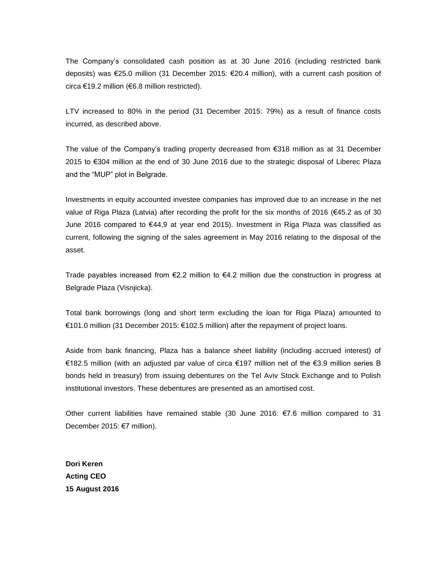The Company's consolidated cash position as at 30 June 2016 (including restricted bank deposits) was €25.0 million (31 December 2015: €20.4 million), with a current cash position of circa €19.2 million (€6.8 million restricted).

LTV increased to 80% in the period (31 December 2015: 79%) as a result of finance costs incurred, as described above.

The value of the Company's trading property decreased from €318 million as at 31 December 2015 to €304 million at the end of 30 June 2016 due to the strategic disposal of Liberec Plaza and the "MUP" plot in Belgrade.

Investments in equity accounted investee companies has improved due to an increase in the net value of Riga Plaza (Latvia) after recording the profit for the six months of 2016 (€45.2 as of 30 June 2016 compared to €44,9 at year end 2015). Investment in Riga Plaza was classified as current, following the signing of the sales agreement in May 2016 relating to the disposal of the asset.

Trade payables increased from €2.2 million to €4.2 million due the construction in progress at Belgrade Plaza (Visnjicka).

Total bank borrowings (long and short term excluding the loan for Riga Plaza) amounted to €101.0 million (31 December 2015: €102.5 million) after the repayment of project loans.

Aside from bank financing, Plaza has a balance sheet liability (including accrued interest) of €182.5 million (with an adjusted par value of circa €197 million net of the €3.9 million series B bonds held in treasury) from issuing debentures on the Tel Aviv Stock Exchange and to Polish institutional investors. These debentures are presented as an amortised cost.

Other current liabilities have remained stable (30 June 2016: €7.6 million compared to 31 December 2015: €7 million).

**Dori Keren Acting CEO 15 August 2016**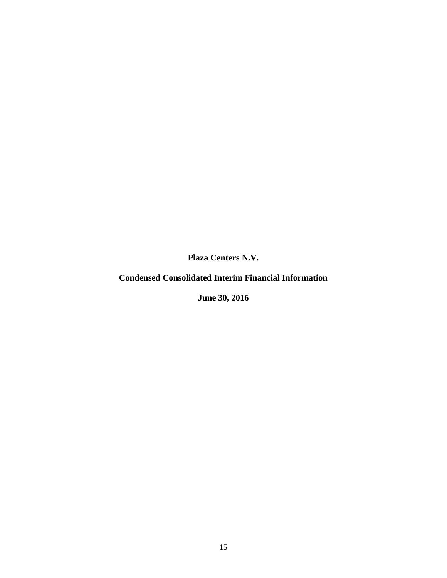**Condensed Consolidated Interim Financial Information**

**June 30, 2016**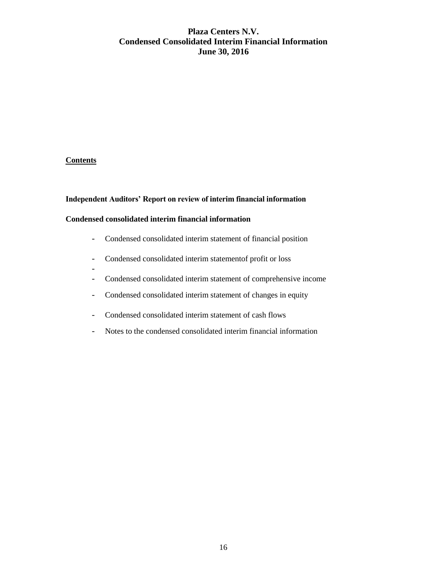# **Plaza Centers N.V. Condensed Consolidated Interim Financial Information June 30, 2016**

# **Contents**

-

### **Independent Auditors' Report on review of interim financial information**

# **Condensed consolidated interim financial information**

- Condensed consolidated interim statement of financial position
- Condensed consolidated interim statementof profit or loss
- Condensed consolidated interim statement of comprehensive income
- Condensed consolidated interim statement of changes in equity
- Condensed consolidated interim statement of cash flows
- Notes to the condensed consolidated interim financial information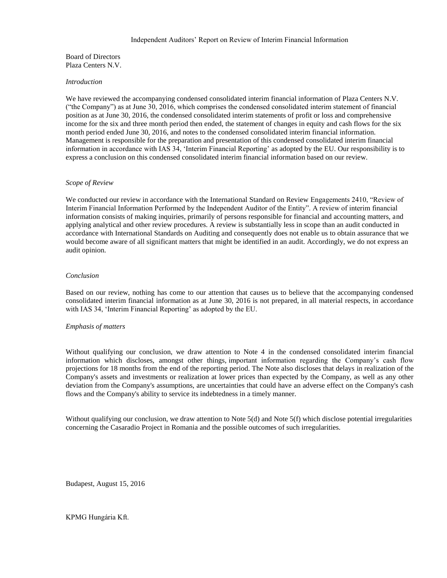#### Independent Auditors' Report on Review of Interim Financial Information

Board of Directors Plaza Centers N.V.

#### *Introduction*

We have reviewed the accompanying condensed consolidated interim financial information of Plaza Centers N.V. ("the Company") as at June 30, 2016, which comprises the condensed consolidated interim statement of financial position as at June 30, 2016, the condensed consolidated interim statements of profit or loss and comprehensive income for the six and three month period then ended, the statement of changes in equity and cash flows for the six month period ended June 30, 2016, and notes to the condensed consolidated interim financial information. Management is responsible for the preparation and presentation of this condensed consolidated interim financial information in accordance with IAS 34, 'Interim Financial Reporting' as adopted by the EU. Our responsibility is to express a conclusion on this condensed consolidated interim financial information based on our review.

#### *Scope of Review*

We conducted our review in accordance with the International Standard on Review Engagements 2410, "Review of Interim Financial Information Performed by the Independent Auditor of the Entity". A review of interim financial information consists of making inquiries, primarily of persons responsible for financial and accounting matters, and applying analytical and other review procedures. A review is substantially less in scope than an audit conducted in accordance with International Standards on Auditing and consequently does not enable us to obtain assurance that we would become aware of all significant matters that might be identified in an audit. Accordingly, we do not express an audit opinion.

#### *Conclusion*

Based on our review, nothing has come to our attention that causes us to believe that the accompanying condensed consolidated interim financial information as at June 30, 2016 is not prepared, in all material respects, in accordance with IAS 34, 'Interim Financial Reporting' as adopted by the EU.

#### *Emphasis of matters*

Without qualifying our conclusion, we draw attention to Note 4 in the condensed consolidated interim financial information which discloses, amongst other things, important information regarding the Company's cash flow projections for 18 months from the end of the reporting period. The Note also discloses that delays in realization of the Company's assets and investments or realization at lower prices than expected by the Company, as well as any other deviation from the Company's assumptions, are uncertainties that could have an adverse effect on the Company's cash flows and the Company's ability to service its indebtedness in a timely manner.

Without qualifying our conclusion, we draw attention to Note 5(d) and Note 5(f) which disclose potential irregularities concerning the Casaradio Project in Romania and the possible outcomes of such irregularities.

Budapest, August 15, 2016

#### KPMG Hungária Kft.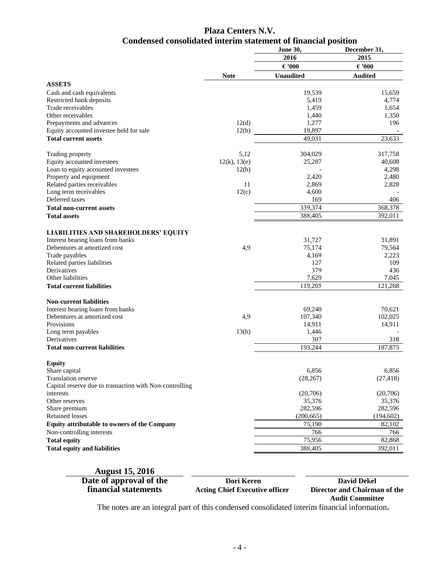# **Plaza Centers N.V. Condensed consolidated interim statement of financial position**

|                                                         |              | <b>June 30,</b>  | December 31,    |  |
|---------------------------------------------------------|--------------|------------------|-----------------|--|
|                                                         |              | 2016             | 2015            |  |
|                                                         |              | $\epsilon$ '000  | $\epsilon$ '000 |  |
|                                                         | <b>Note</b>  | <b>Unaudited</b> | <b>Audited</b>  |  |
| <b>ASSETS</b>                                           |              |                  |                 |  |
| Cash and cash equivalents                               |              | 19,539           | 15,659          |  |
| Restricted bank deposits                                |              | 5,419            | 4,774           |  |
| Trade receivables                                       |              | 1,459            | 1,654           |  |
| Other receivables                                       |              | 1,440            | 1,350           |  |
| Prepayments and advances                                | 12(d)        | 1,277            | 196             |  |
| Equity accounted investee held for sale                 | 12(b)        | 19,897           |                 |  |
| <b>Total current assets</b>                             |              | 49,031           | 23,633          |  |
| Trading property                                        | 5,12         | 304,029          | 317,758         |  |
| Equity accounted investees                              | 12(k), 13(e) | 25,287           | 40,608          |  |
| Loan to equity accounted investees                      | 12(b)        |                  | 4,298           |  |
| Property and equipment                                  |              | 2,420            | 2,480           |  |
| Related parties receivables                             | 11           | 2,869            | 2,828           |  |
| Long term receivables                                   | 12(c)        | 4,600            |                 |  |
| Deferred taxes                                          |              | 169              | 406             |  |
| <b>Total non-current assets</b>                         |              | 339,374          | 368,378         |  |
| <b>Total assets</b>                                     |              | 388,405          | 392,011         |  |
| <b>LIABILITIES AND SHAREHOLDERS' EQUITY</b>             |              |                  |                 |  |
| Interest bearing loans from banks                       |              | 31,727           | 31,891          |  |
| Debentures at amortized cost                            | 4,9          | 75,174           | 79,564          |  |
| Trade payables                                          |              | 4.169            | 2,223           |  |
| Related parties liabilities                             |              | 127              | 109             |  |
| Derivatives                                             |              | 379              | 436             |  |
| Other liabilities                                       |              | 7,629            | 7,045           |  |
| <b>Total current liabilities</b>                        |              | 119,205          | 121,268         |  |
| <b>Non-current liabilities</b>                          |              |                  |                 |  |
| Interest bearing loans from banks                       |              | 69,240           | 70,621          |  |
| Debentures at amortized cost                            | 4,9          | 107,340          | 102,025         |  |
| Provisions                                              |              | 14,911           | 14,911          |  |
| Long term payables                                      | 13(b)        | 1,446            |                 |  |
| <b>Derivatives</b>                                      |              | 307              | 318             |  |
| <b>Total non-current liabilities</b>                    |              | 193,244          | 187,875         |  |
| <b>Equity</b>                                           |              |                  |                 |  |
| Share capital                                           |              | 6,856            | 6,856           |  |
| <b>Translation reserve</b>                              |              | (28, 267)        | (27, 418)       |  |
| Capital reserve due to transaction with Non-controlling |              |                  |                 |  |
| interests                                               |              | (20,706)         | (20,706)        |  |
| Other reserves                                          |              | 35,376           | 35,376          |  |
| Share premium                                           |              | 282,596          | 282,596         |  |
| <b>Retained losses</b>                                  |              | (200, 665)       | (194, 602)      |  |
| Equity attributable to owners of the Company            |              | 75,190           | 82,102          |  |
| Non-controlling interests                               |              | 766              | 766             |  |
| <b>Total equity</b>                                     |              | 75,956           | 82,868          |  |
| <b>Total equity and liabilities</b>                     |              | 388,405          | 392,011         |  |
|                                                         |              |                  |                 |  |

| <b>August 15, 2016</b>  |                                       |                              |
|-------------------------|---------------------------------------|------------------------------|
| Date of approval of the | Dori Keren                            | <b>David Dekel</b>           |
| financial statements    | <b>Acting Chief Executive officer</b> | Director and Chairman of the |
|                         |                                       | <b>Audit Committee</b>       |

 $\mathbf{r}$ 

The notes are an integral part of this condensed consolidated interim financial information**.**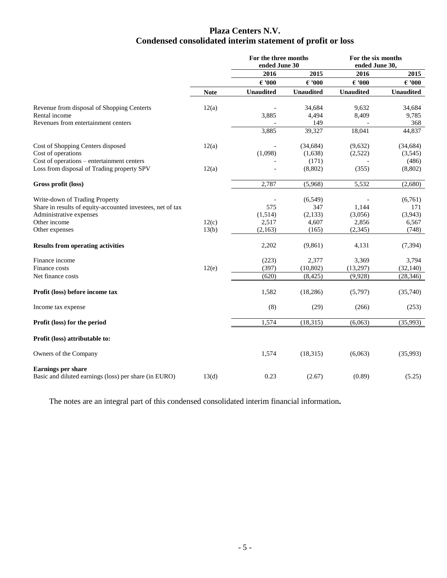# **Plaza Centers N.V. Condensed consolidated interim statement of profit or loss**

|                                                            |             | For the three months<br>ended June 30 |                  | For the six months<br>ended June 30, |                  |
|------------------------------------------------------------|-------------|---------------------------------------|------------------|--------------------------------------|------------------|
|                                                            |             | 2016                                  | 2015             | 2016                                 | 2015             |
|                                                            |             | $\epsilon$ '000                       | $\epsilon$ '000  | $\epsilon$ '000                      | $\epsilon$ '000  |
|                                                            | <b>Note</b> | <b>Unaudited</b>                      | <b>Unaudited</b> | <b>Unaudited</b>                     | <b>Unaudited</b> |
| Revenue from disposal of Shopping Centerts                 | 12(a)       |                                       | 34,684           | 9,632                                | 34,684           |
| Rental income                                              |             | 3,885                                 | 4,494            | 8,409                                | 9,785            |
| Revenues from entertainment centers                        |             |                                       | 149              |                                      | 368              |
|                                                            |             | 3,885                                 | 39,327           | 18,041                               | 44,837           |
| Cost of Shopping Centers disposed                          | 12(a)       |                                       | (34, 684)        | (9,632)                              | (34, 684)        |
| Cost of operations                                         |             | (1,098)                               | (1,638)          | (2,522)                              | (3,545)          |
| Cost of operations – entertainment centers                 |             |                                       | (171)            |                                      | (486)            |
| Loss from disposal of Trading property SPV                 | 12(a)       |                                       | (8, 802)         | (355)                                | (8,802)          |
| Gross profit (loss)                                        |             | 2,787                                 | (5,968)          | 5,532                                | (2,680)          |
| Write-down of Trading Property                             |             |                                       | (6, 549)         |                                      | (6,761)          |
| Share in results of equity-accounted investees, net of tax |             | 575                                   | 347              | 1,144                                | 171              |
| Administrative expenses                                    |             | (1,514)                               | (2,133)          | (3,056)                              | (3,943)          |
| Other income                                               | 12(c)       | 2,517                                 | 4,607            | 2,856                                | 6,567            |
| Other expenses                                             | 13(b)       | (2,163)                               | (165)            | (2, 345)                             | (748)            |
| <b>Results from operating activities</b>                   |             | 2,202                                 | (9, 861)         | 4,131                                | (7, 394)         |
| Finance income                                             |             | (223)                                 | 2,377            | 3,369                                | 3,794            |
| Finance costs                                              | 12(e)       | (397)                                 | (10, 802)        | (13,297)                             | (32, 140)        |
| Net finance costs                                          |             | (620)                                 | (8, 425)         | (9,928)                              | (28, 346)        |
| Profit (loss) before income tax                            |             | 1,582                                 | (18, 286)        | (5,797)                              | (35,740)         |
| Income tax expense                                         |             | (8)                                   | (29)             | (266)                                | (253)            |
| Profit (loss) for the period                               |             | 1,574                                 | (18,315)         | (6,063)                              | (35,993)         |
| Profit (loss) attributable to:                             |             |                                       |                  |                                      |                  |
| Owners of the Company                                      |             | 1,574                                 | (18,315)         | (6,063)                              | (35,993)         |
| Earnings per share                                         |             |                                       |                  |                                      |                  |
| Basic and diluted earnings (loss) per share (in EURO)      | 13(d)       | 0.23                                  | (2.67)           | (0.89)                               | (5.25)           |

The notes are an integral part of this condensed consolidated interim financial information**.**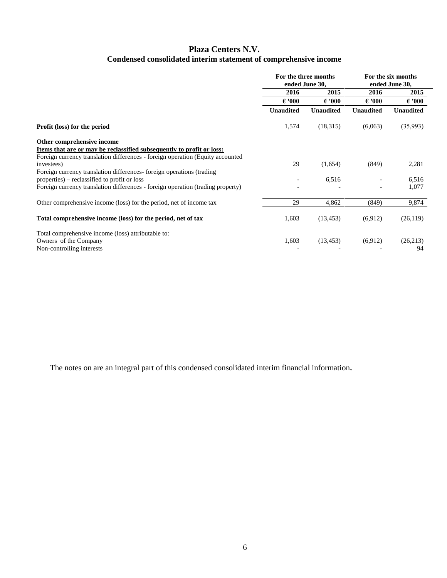# **Plaza Centers N.V. Condensed consolidated interim statement of comprehensive income**

|                                                                                 | For the three months<br>ended June 30, |                  | For the six months<br>ended June 30, |                  |
|---------------------------------------------------------------------------------|----------------------------------------|------------------|--------------------------------------|------------------|
|                                                                                 | 2016                                   | 2015             | 2016                                 | 2015             |
|                                                                                 | $\epsilon$ '000                        | $\epsilon$ '000  | $\epsilon$ '000                      | $\epsilon$ '000  |
|                                                                                 | <b>Unaudited</b>                       | <b>Unaudited</b> | <b>Unaudited</b>                     | <b>Unaudited</b> |
| Profit (loss) for the period                                                    | 1,574                                  | (18,315)         | (6,063)                              | (35,993)         |
| Other comprehensive income                                                      |                                        |                  |                                      |                  |
| Items that are or may be reclassified subsequently to profit or loss:           |                                        |                  |                                      |                  |
| Foreign currency translation differences - foreign operation (Equity accounted) |                                        |                  |                                      |                  |
| investees)                                                                      | 29                                     | (1,654)          | (849)                                | 2,281            |
| Foreign currency translation differences-foreign operations (trading            |                                        |                  |                                      |                  |
| properties) – reclassified to profit or loss                                    |                                        | 6,516            |                                      | 6,516            |
| Foreign currency translation differences - foreign operation (trading property) |                                        |                  |                                      | 1,077            |
| Other comprehensive income (loss) for the period, net of income tax             | 29                                     | 4,862            | (849)                                | 9,874            |
| Total comprehensive income (loss) for the period, net of tax                    | 1,603                                  | (13, 453)        | (6,912)                              | (26,119)         |
| Total comprehensive income (loss) attributable to:                              |                                        |                  |                                      |                  |
| Owners of the Company                                                           | 1,603                                  | (13, 453)        | (6,912)                              | (26,213)         |
| Non-controlling interests                                                       |                                        |                  |                                      | 94               |

The notes on are an integral part of this condensed consolidated interim financial information**.**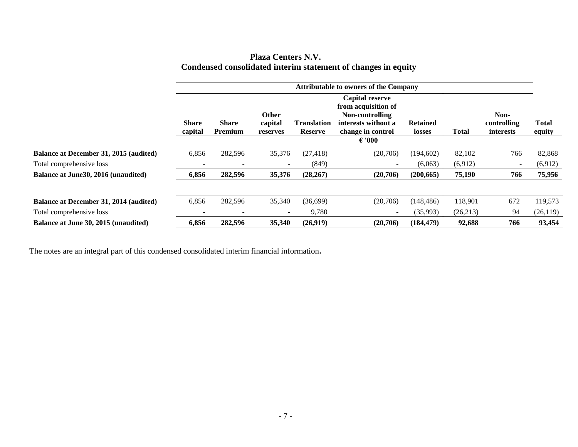| <b>Plaza Centers N.V.</b>                                     |
|---------------------------------------------------------------|
| Condensed consolidated interim statement of changes in equity |

|                                               | <b>Attributable to owners of the Company</b> |                                |                                     |                                      |                                                                                                                                 |                           |              |                                         |                        |
|-----------------------------------------------|----------------------------------------------|--------------------------------|-------------------------------------|--------------------------------------|---------------------------------------------------------------------------------------------------------------------------------|---------------------------|--------------|-----------------------------------------|------------------------|
|                                               | <b>Share</b><br>capital                      | <b>Share</b><br><b>Premium</b> | <b>Other</b><br>capital<br>reserves | <b>Translation</b><br><b>Reserve</b> | <b>Capital reserve</b><br>from acquisition of<br>Non-controlling<br>interests without a<br>change in control<br>$\epsilon$ '000 | <b>Retained</b><br>losses | <b>Total</b> | Non-<br>controlling<br><i>interests</i> | <b>Total</b><br>equity |
| <b>Balance at December 31, 2015 (audited)</b> | 6,856                                        | 282,596                        | 35,376                              | (27, 418)                            | (20,706)                                                                                                                        | (194,602)                 | 82,102       | 766                                     | 82,868                 |
| Total comprehensive loss                      |                                              |                                |                                     | (849)                                |                                                                                                                                 | (6,063)                   | (6,912)      | $\sim$                                  | (6,912)                |
| Balance at June 30, 2016 (unaudited)          | 6,856                                        | 282,596                        | 35,376                              | (28, 267)                            | (20,706)                                                                                                                        | (200, 665)                | 75,190       | 766                                     | 75,956                 |
| Balance at December 31, 2014 (audited)        | 6,856                                        | 282,596                        | 35,340                              | (36,699)                             | (20,706)                                                                                                                        | (148, 486)                | 118,901      | 672                                     | 119,573                |
| Total comprehensive loss                      |                                              | $\overline{\phantom{0}}$       |                                     | 9,780                                | $\sim$                                                                                                                          | (35,993)                  | (26,213)     | 94                                      | (26, 119)              |
| Balance at June 30, 2015 (unaudited)          | 6,856                                        | 282,596                        | 35,340                              | (26,919)                             | (20,706)                                                                                                                        | (184, 479)                | 92,688       | 766                                     | 93,454                 |

The notes are an integral part of this condensed consolidated interim financial information**.**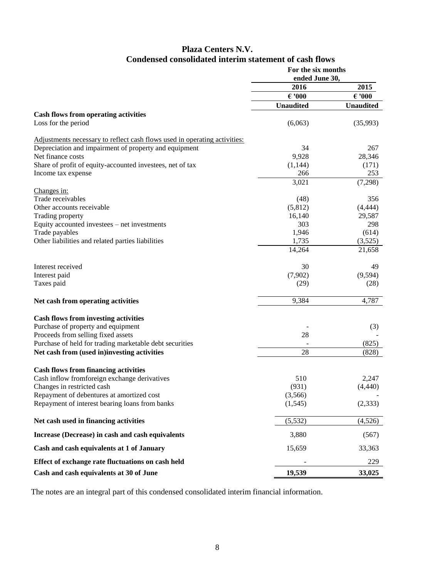# **Plaza Centers N.V. Condensed consolidated interim statement of cash flows**

|                                                                           | For the six months |                  |  |
|---------------------------------------------------------------------------|--------------------|------------------|--|
|                                                                           | ended June 30,     |                  |  |
|                                                                           | 2016               | 2015             |  |
|                                                                           | $\epsilon$ '000    | $\epsilon$ '000  |  |
|                                                                           | <b>Unaudited</b>   | <b>Unaudited</b> |  |
| <b>Cash flows from operating activities</b>                               |                    |                  |  |
| Loss for the period                                                       | (6,063)            | (35,993)         |  |
| Adjustments necessary to reflect cash flows used in operating activities: |                    |                  |  |
| Depreciation and impairment of property and equipment                     | 34                 | 267              |  |
| Net finance costs                                                         | 9,928              | 28,346           |  |
| Share of profit of equity-accounted investees, net of tax                 | (1, 144)           | (171)            |  |
| Income tax expense                                                        | 266                | 253              |  |
|                                                                           | 3,021              | (7,298)          |  |
| Changes in:                                                               |                    |                  |  |
| Trade receivables                                                         | (48)               | 356              |  |
| Other accounts receivable                                                 | (5,812)            | (4, 444)         |  |
| Trading property                                                          | 16,140             | 29,587           |  |
| Equity accounted investees - net investments                              | 303                | 298              |  |
| Trade payables                                                            | 1,946              | (614)            |  |
| Other liabilities and related parties liabilities                         | 1,735              | (3,525)          |  |
|                                                                           | 14,264             | 21,658           |  |
| Interest received                                                         | 30                 | 49               |  |
| Interest paid                                                             | (7,902)            | (9, 594)         |  |
| Taxes paid                                                                | (29)               | (28)             |  |
| Net cash from operating activities                                        | 9,384              | 4,787            |  |
| <b>Cash flows from investing activities</b>                               |                    |                  |  |
| Purchase of property and equipment                                        |                    | (3)              |  |
| Proceeds from selling fixed assets                                        | 28                 |                  |  |
| Purchase of held for trading marketable debt securities                   |                    | (825)            |  |
| Net cash from (used in)investing activities                               | 28                 | (828)            |  |
|                                                                           |                    |                  |  |
| <b>Cash flows from financing activities</b>                               |                    |                  |  |
| Cash inflow fromforeign exchange derivatives                              | 510                | 2,247            |  |
| Changes in restricted cash                                                | (931)              | (4, 440)         |  |
| Repayment of debentures at amortized cost                                 | (3,566)            |                  |  |
| Repayment of interest bearing loans from banks                            | (1,545)            | (2, 333)         |  |
| Net cash used in financing activities                                     | (5,532)            | (4,526)          |  |
| Increase (Decrease) in cash and cash equivalents                          | 3,880              | (567)            |  |
| Cash and cash equivalents at 1 of January                                 | 15,659             | 33,363           |  |
| Effect of exchange rate fluctuations on cash held                         |                    | 229              |  |
| Cash and cash equivalents at 30 of June                                   | 19,539             | 33,025           |  |

The notes are an integral part of this condensed consolidated interim financial information.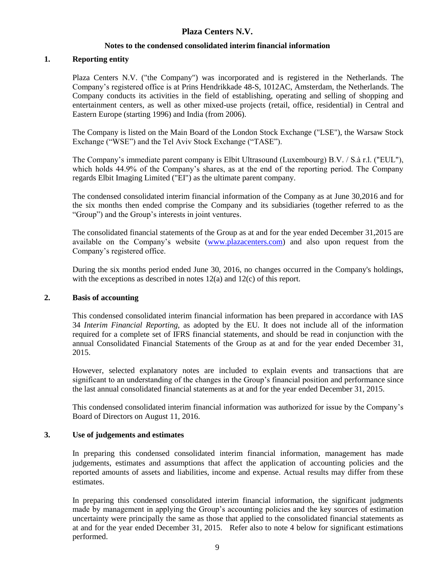#### **Notes to the condensed consolidated interim financial information**

#### **1. Reporting entity**

Plaza Centers N.V. ("the Company") was incorporated and is registered in the Netherlands. The Company's registered office is at Prins Hendrikkade 48-S, 1012AC, Amsterdam, the Netherlands. The Company conducts its activities in the field of establishing, operating and selling of shopping and entertainment centers, as well as other mixed-use projects (retail, office, residential) in Central and Eastern Europe (starting 1996) and India (from 2006).

The Company is listed on the Main Board of the London Stock Exchange ("LSE"), the Warsaw Stock Exchange ("WSE") and the Tel Aviv Stock Exchange ("TASE").

The Company's immediate parent company is Elbit Ultrasound (Luxembourg) B.V. / S.à r.l. ("EUL"), which holds 44.9% of the Company's shares, as at the end of the reporting period. The Company regards Elbit Imaging Limited ("EI") as the ultimate parent company.

The condensed consolidated interim financial information of the Company as at June 30,2016 and for the six months then ended comprise the Company and its subsidiaries (together referred to as the "Group") and the Group's interests in joint ventures.

The consolidated financial statements of the Group as at and for the year ended December 31,2015 are available on the Company's website [\(www.plazacenters.com\)](http://www.plazacenters.com/) and also upon request from the Company's registered office.

During the six months period ended June 30, 2016, no changes occurred in the Company's holdings, with the exceptions as described in notes 12(a) and 12(c) of this report.

#### **2. Basis of accounting**

This condensed consolidated interim financial information has been prepared in accordance with IAS 34 *Interim Financial Reporting,* as adopted by the EU*.* It does not include all of the information required for a complete set of IFRS financial statements, and should be read in conjunction with the annual Consolidated Financial Statements of the Group as at and for the year ended December 31, 2015.

However, selected explanatory notes are included to explain events and transactions that are significant to an understanding of the changes in the Group's financial position and performance since the last annual consolidated financial statements as at and for the year ended December 31, 2015.

This condensed consolidated interim financial information was authorized for issue by the Company's Board of Directors on August 11, 2016.

#### **3. Use of judgements and estimates**

In preparing this condensed consolidated interim financial information, management has made judgements, estimates and assumptions that affect the application of accounting policies and the reported amounts of assets and liabilities, income and expense. Actual results may differ from these estimates.

In preparing this condensed consolidated interim financial information, the significant judgments made by management in applying the Group's accounting policies and the key sources of estimation uncertainty were principally the same as those that applied to the consolidated financial statements as at and for the year ended December 31, 2015. Refer also to note 4 below for significant estimations performed.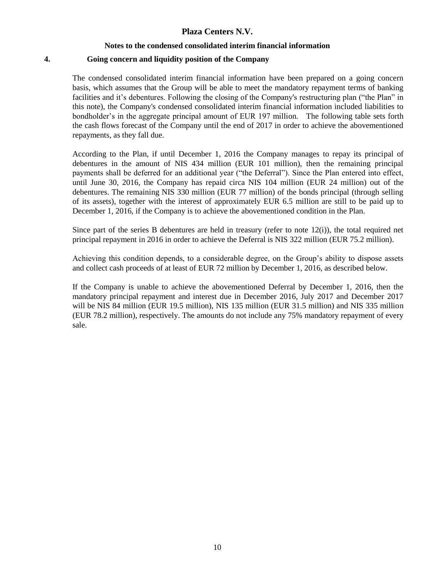#### **Notes to the condensed consolidated interim financial information**

#### **4. Going concern and liquidity position of the Company**

The condensed consolidated interim financial information have been prepared on a going concern basis, which assumes that the Group will be able to meet the mandatory repayment terms of banking facilities and it's debentures. Following the closing of the Company's restructuring plan ("the Plan" in this note), the Company's condensed consolidated interim financial information included liabilities to bondholder's in the aggregate principal amount of EUR 197 million. The following table sets forth the cash flows forecast of the Company until the end of 2017 in order to achieve the abovementioned repayments, as they fall due.

According to the Plan, if until December 1, 2016 the Company manages to repay its principal of debentures in the amount of NIS 434 million (EUR 101 million), then the remaining principal payments shall be deferred for an additional year ("the Deferral"). Since the Plan entered into effect, until June 30, 2016, the Company has repaid circa NIS 104 million (EUR 24 million) out of the debentures. The remaining NIS 330 million (EUR 77 million) of the bonds principal (through selling of its assets), together with the interest of approximately EUR 6.5 million are still to be paid up to December 1, 2016, if the Company is to achieve the abovementioned condition in the Plan.

Since part of the series B debentures are held in treasury (refer to note 12(i)), the total required net principal repayment in 2016 in order to achieve the Deferral is NIS 322 million (EUR 75.2 million).

Achieving this condition depends, to a considerable degree, on the Group's ability to dispose assets and collect cash proceeds of at least of EUR 72 million by December 1, 2016, as described below.

If the Company is unable to achieve the abovementioned Deferral by December 1, 2016, then the mandatory principal repayment and interest due in December 2016, July 2017 and December 2017 will be NIS 84 million (EUR 19.5 million), NIS 135 million (EUR 31.5 million) and NIS 335 million (EUR 78.2 million), respectively. The amounts do not include any 75% mandatory repayment of every sale.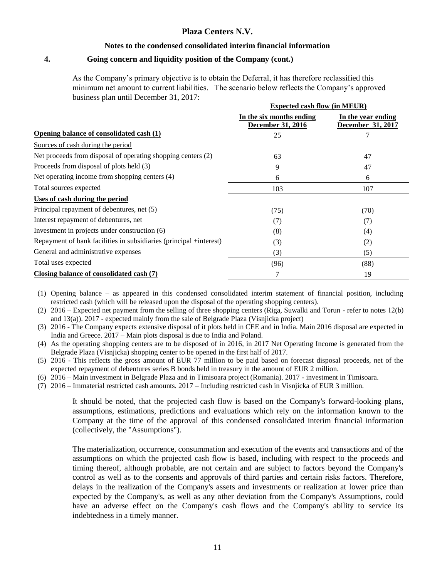#### **Notes to the condensed consolidated interim financial information**

#### **4. Going concern and liquidity position of the Company (cont.)**

As the Company's primary objective is to obtain the Deferral, it has therefore reclassified this minimum net amount to current liabilities. The scenario below reflects the Company's approved business plan until December 31, 2017:

|                                                                    | <b>Expected cash flow (in MEUR)</b>                  |                                         |
|--------------------------------------------------------------------|------------------------------------------------------|-----------------------------------------|
|                                                                    | In the six months ending<br><b>December 31, 2016</b> | In the year ending<br>December 31, 2017 |
| Opening balance of consolidated cash (1)                           | 25                                                   |                                         |
| Sources of cash during the period                                  |                                                      |                                         |
| Net proceeds from disposal of operating shopping centers (2)       | 63                                                   | 47                                      |
| Proceeds from disposal of plots held (3)                           | 9                                                    | 47                                      |
| Net operating income from shopping centers (4)                     | 6                                                    | 6                                       |
| Total sources expected                                             | 103                                                  | 107                                     |
| Uses of cash during the period                                     |                                                      |                                         |
| Principal repayment of debentures, net (5)                         | (75)                                                 | (70)                                    |
| Interest repayment of debentures, net                              | (7)                                                  | (7)                                     |
| Investment in projects under construction (6)                      | (8)                                                  | (4)                                     |
| Repayment of bank facilities in subsidiaries (principal +interest) | (3)                                                  | (2)                                     |
| General and administrative expenses                                | (3)                                                  | (5)                                     |
| Total uses expected                                                | (96)                                                 | (88)                                    |
| Closing balance of consolidated cash (7)                           | 7                                                    | 19                                      |

(1) Opening balance – as appeared in this condensed consolidated interim statement of financial position, including restricted cash (which will be released upon the disposal of the operating shopping centers).

(2) 2016 – Expected net payment from the selling of three shopping centers (Riga, Suwalki and Torun - refer to notes 12(b) and 13(a)). 2017 - expected mainly from the sale of Belgrade Plaza (Visnjicka project)

- (3) 2016 The Company expects extensive disposal of it plots held in CEE and in India. Main 2016 disposal are expected in India and Greece. 2017 – Main plots disposal is due to India and Poland.
- (4) As the operating shopping centers are to be disposed of in 2016, in 2017 Net Operating Income is generated from the Belgrade Plaza (Visnjicka) shopping center to be opened in the first half of 2017.
- (5) 2016 This reflects the gross amount of EUR 77 million to be paid based on forecast disposal proceeds, net of the expected repayment of debentures series B bonds held in treasury in the amount of EUR 2 million.
- (6) 2016 Main investment in Belgrade Plaza and in Timisoara project (Romania). 2017 investment in Timisoara.
- (7) 2016 Immaterial restricted cash amounts. 2017 Including restricted cash in Visnjicka of EUR 3 million.

It should be noted, that the projected cash flow is based on the Company's forward-looking plans, assumptions, estimations, predictions and evaluations which rely on the information known to the Company at the time of the approval of this condensed consolidated interim financial information (collectively, the "Assumptions").

The materialization, occurrence, consummation and execution of the events and transactions and of the assumptions on which the projected cash flow is based, including with respect to the proceeds and timing thereof, although probable, are not certain and are subject to factors beyond the Company's control as well as to the consents and approvals of third parties and certain risks factors. Therefore, delays in the realization of the Company's assets and investments or realization at lower price than expected by the Company's, as well as any other deviation from the Company's Assumptions, could have an adverse effect on the Company's cash flows and the Company's ability to service its indebtedness in a timely manner.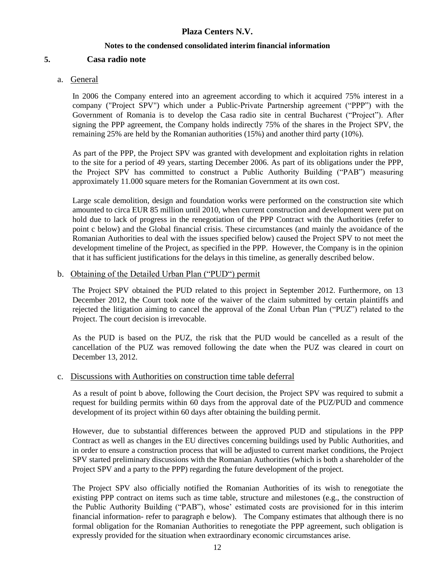## **Notes to the condensed consolidated interim financial information**

# **5. Casa radio note**

## a. General

In 2006 the Company entered into an agreement according to which it acquired 75% interest in a company ("Project SPV") which under a Public-Private Partnership agreement ("PPP") with the Government of Romania is to develop the Casa radio site in central Bucharest ("Project"). After signing the PPP agreement, the Company holds indirectly 75% of the shares in the Project SPV, the remaining 25% are held by the Romanian authorities (15%) and another third party (10%).

As part of the PPP, the Project SPV was granted with development and exploitation rights in relation to the site for a period of 49 years, starting December 2006. As part of its obligations under the PPP, the Project SPV has committed to construct a Public Authority Building ("PAB") measuring approximately 11.000 square meters for the Romanian Government at its own cost.

Large scale demolition, design and foundation works were performed on the construction site which amounted to circa EUR 85 million until 2010, when current construction and development were put on hold due to lack of progress in the renegotiation of the PPP Contract with the Authorities (refer to point c below) and the Global financial crisis. These circumstances (and mainly the avoidance of the Romanian Authorities to deal with the issues specified below) caused the Project SPV to not meet the development timeline of the Project, as specified in the PPP. However, the Company is in the opinion that it has sufficient justifications for the delays in this timeline, as generally described below.

## b. Obtaining of the Detailed Urban Plan ("PUD") permit

The Project SPV obtained the PUD related to this project in September 2012. Furthermore, on 13 December 2012, the Court took note of the waiver of the claim submitted by certain plaintiffs and rejected the litigation aiming to cancel the approval of the Zonal Urban Plan ("PUZ") related to the Project. The court decision is irrevocable.

As the PUD is based on the PUZ, the risk that the PUD would be cancelled as a result of the cancellation of the PUZ was removed following the date when the PUZ was cleared in court on December 13, 2012.

# c. Discussions with Authorities on construction time table deferral

As a result of point b above, following the Court decision, the Project SPV was required to submit a request for building permits within 60 days from the approval date of the PUZ/PUD and commence development of its project within 60 days after obtaining the building permit.

However, due to substantial differences between the approved PUD and stipulations in the PPP Contract as well as changes in the EU directives concerning buildings used by Public Authorities, and in order to ensure a construction process that will be adjusted to current market conditions, the Project SPV started preliminary discussions with the Romanian Authorities (which is both a shareholder of the Project SPV and a party to the PPP) regarding the future development of the project.

The Project SPV also officially notified the Romanian Authorities of its wish to renegotiate the existing PPP contract on items such as time table, structure and milestones (e.g., the construction of the Public Authority Building ("PAB"), whose' estimated costs are provisioned for in this interim financial information- refer to paragraph e below). The Company estimates that although there is no formal obligation for the Romanian Authorities to renegotiate the PPP agreement, such obligation is expressly provided for the situation when extraordinary economic circumstances arise.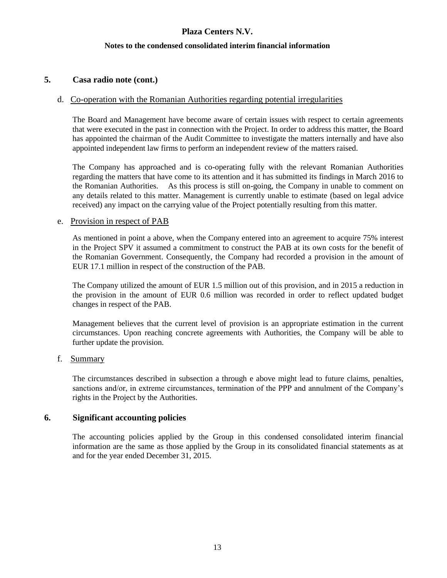### **Notes to the condensed consolidated interim financial information**

# **5. Casa radio note (cont.)**

## d. Co-operation with the Romanian Authorities regarding potential irregularities

The Board and Management have become aware of certain issues with respect to certain agreements that were executed in the past in connection with the Project. In order to address this matter, the Board has appointed the chairman of the Audit Committee to investigate the matters internally and have also appointed independent law firms to perform an independent review of the matters raised.

The Company has approached and is co-operating fully with the relevant Romanian Authorities regarding the matters that have come to its attention and it has submitted its findings in March 2016 to the Romanian Authorities. As this process is still on-going, the Company in unable to comment on any details related to this matter. Management is currently unable to estimate (based on legal advice received) any impact on the carrying value of the Project potentially resulting from this matter.

### e. Provision in respect of PAB

As mentioned in point a above, when the Company entered into an agreement to acquire 75% interest in the Project SPV it assumed a commitment to construct the PAB at its own costs for the benefit of the Romanian Government. Consequently, the Company had recorded a provision in the amount of EUR 17.1 million in respect of the construction of the PAB.

The Company utilized the amount of EUR 1.5 million out of this provision, and in 2015 a reduction in the provision in the amount of EUR 0.6 million was recorded in order to reflect updated budget changes in respect of the PAB.

Management believes that the current level of provision is an appropriate estimation in the current circumstances. Upon reaching concrete agreements with Authorities, the Company will be able to further update the provision.

### f. Summary

The circumstances described in subsection a through e above might lead to future claims, penalties, sanctions and/or, in extreme circumstances, termination of the PPP and annulment of the Company's rights in the Project by the Authorities.

# **6. Significant accounting policies**

The accounting policies applied by the Group in this condensed consolidated interim financial information are the same as those applied by the Group in its consolidated financial statements as at and for the year ended December 31, 2015.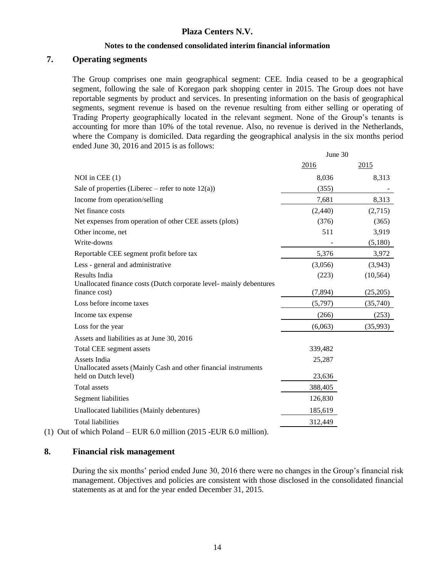#### **Notes to the condensed consolidated interim financial information**

### **7. Operating segments**

The Group comprises one main geographical segment: CEE. India ceased to be a geographical segment, following the sale of Koregaon park shopping center in 2015. The Group does not have reportable segments by product and services. In presenting information on the basis of geographical segments, segment revenue is based on the revenue resulting from either selling or operating of Trading Property geographically located in the relevant segment. None of the Group's tenants is accounting for more than 10% of the total revenue. Also, no revenue is derived in the Netherlands, where the Company is domiciled. Data regarding the geographical analysis in the six months period ended June 30, 2016 and 2015 is as follows:  $20$ 

|                                                                                      | June 30 |           |
|--------------------------------------------------------------------------------------|---------|-----------|
|                                                                                      | 2016    | 2015      |
| NOI in CEE $(1)$                                                                     | 8,036   | 8,313     |
| Sale of properties (Liberec – refer to note $12(a)$ )                                | (355)   |           |
| Income from operation/selling                                                        | 7,681   | 8,313     |
| Net finance costs                                                                    | (2,440) | (2,715)   |
| Net expenses from operation of other CEE assets (plots)                              | (376)   | (365)     |
| Other income, net                                                                    | 511     | 3,919     |
| Write-downs                                                                          |         | (5,180)   |
| Reportable CEE segment profit before tax                                             | 5,376   | 3,972     |
| Less - general and administrative                                                    | (3,056) | (3,943)   |
| <b>Results India</b>                                                                 | (223)   | (10, 564) |
| Unallocated finance costs (Dutch corporate level- mainly debentures<br>finance cost) | (7,894) | (25,205)  |
| Loss before income taxes                                                             | (5,797) | (35,740)  |
| Income tax expense                                                                   | (266)   | (253)     |
| Loss for the year                                                                    | (6,063) | (35,993)  |
| Assets and liabilities as at June 30, 2016                                           |         |           |
| Total CEE segment assets                                                             | 339,482 |           |
| Assets India                                                                         | 25,287  |           |
| Unallocated assets (Mainly Cash and other financial instruments                      |         |           |
| held on Dutch level)                                                                 | 23,636  |           |
| <b>Total assets</b>                                                                  | 388,405 |           |
| Segment liabilities                                                                  | 126,830 |           |
| Unallocated liabilities (Mainly debentures)                                          | 185,619 |           |
| <b>Total liabilities</b>                                                             | 312,449 |           |
| of which $Dolond$ $EID \leq 0$ million (2015 $EID \leq 0$ million)                   |         |           |

(1) Out of which Poland – EUR 6.0 million (2015 -EUR 6.0 million).

## **8. Financial risk management**

During the six months' period ended June 30, 2016 there were no changes in the Group's financial risk management. Objectives and policies are consistent with those disclosed in the consolidated financial statements as at and for the year ended December 31, 2015.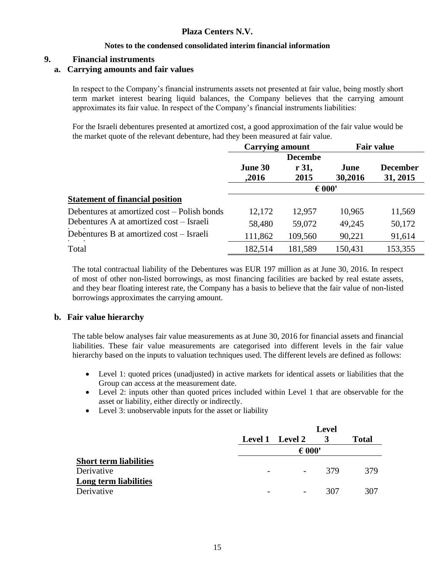### **Notes to the condensed consolidated interim financial information**

# **9. Financial instruments**

# **a. Carrying amounts and fair values**

In respect to the Company's financial instruments assets not presented at fair value, being mostly short term market interest bearing liquid balances, the Company believes that the carrying amount approximates its fair value. In respect of the Company's financial instruments liabilities:

For the Israeli debentures presented at amortized cost, a good approximation of the fair value would be the market quote of the relevant debenture, had they been measured at fair value.

|                                             | <b>Carrying amount</b> |         | <b>Fair value</b> |                 |
|---------------------------------------------|------------------------|---------|-------------------|-----------------|
|                                             | <b>Decembe</b>         |         |                   |                 |
|                                             | June 30                | r 31,   | June              | <b>December</b> |
|                                             | ,2016                  | 2015    | 30,2016           | 31, 2015        |
|                                             | $\epsilon$ 000'        |         |                   |                 |
| <b>Statement of financial position</b>      |                        |         |                   |                 |
| Debentures at amortized cost – Polish bonds | 12,172                 | 12,957  | 10,965            | 11,569          |
| Debentures A at amortized cost – Israeli    | 58,480                 | 59,072  | 49,245            | 50,172          |
| Debentures B at amortized cost – Israeli    | 111,862                | 109,560 | 90,221            | 91,614          |
| Total                                       | 182,514                | 181,589 | 150,431           | 153,355         |

The total contractual liability of the Debentures was EUR 197 million as at June 30, 2016. In respect of most of other non-listed borrowings, as most financing facilities are backed by real estate assets, and they bear floating interest rate, the Company has a basis to believe that the fair value of non-listed borrowings approximates the carrying amount.

# **b. Fair value hierarchy**

The table below analyses fair value measurements as at June 30, 2016 for financial assets and financial liabilities. These fair value measurements are categorised into different levels in the fair value hierarchy based on the inputs to valuation techniques used. The different levels are defined as follows:

- Level 1: quoted prices (unadjusted) in active markets for identical assets or liabilities that the Group can access at the measurement date.
- Level 2: inputs other than quoted prices included within Level 1 that are observable for the asset or liability, either directly or indirectly.
- Level 3: unobservable inputs for the asset or liability

|                                     |                 | <b>Level</b> |              |
|-------------------------------------|-----------------|--------------|--------------|
|                                     | Level 1 Level 2 |              | <b>Total</b> |
|                                     | $\epsilon$ 000' |              |              |
| <b>Short term liabilities</b>       |                 |              |              |
| Derivative                          |                 | 379          | 379          |
| Long term liabilities<br>Derivative |                 | 307          | 307          |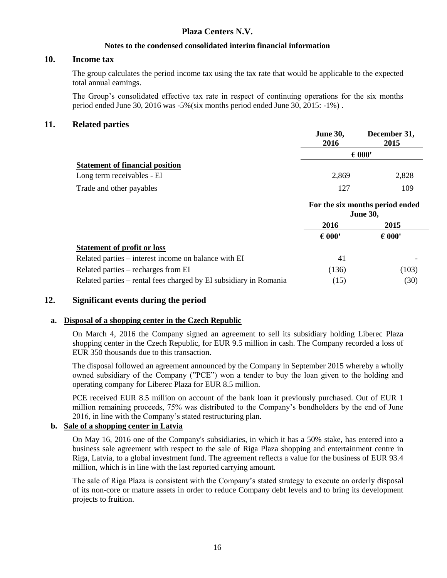## **Notes to the condensed consolidated interim financial information**

## **10. Income tax**

The group calculates the period income tax using the tax rate that would be applicable to the expected total annual earnings.

The Group's consolidated effective tax rate in respect of continuing operations for the six months period ended June 30, 2016 was -5%(six months period ended June 30, 2015: -1%) .

## **11. Related parties**

|                                        | <b>June 30,</b><br>2016 | December 31,<br>2015 |  |
|----------------------------------------|-------------------------|----------------------|--|
|                                        | $\epsilon$ 000'         |                      |  |
| <b>Statement of financial position</b> |                         |                      |  |
| Long term receivables - EI             | 2,869                   | 2,828                |  |
| Trade and other payables               | 127                     | 109                  |  |
|                                        |                         |                      |  |

|                                                                   | For the six months period ended<br><b>June 30,</b> |                 |
|-------------------------------------------------------------------|----------------------------------------------------|-----------------|
|                                                                   | 2016                                               | 2015            |
|                                                                   | $\epsilon$ 000'                                    | $\epsilon$ 000' |
| <b>Statement of profit or loss</b>                                |                                                    |                 |
| Related parties – interest income on balance with EI              | 41                                                 |                 |
| Related parties – recharges from EI                               | (136)                                              | (103)           |
| Related parties – rental fees charged by EI subsidiary in Romania | (15)                                               | (30)            |

# **12. Significant events during the period**

### **a. Disposal of a shopping center in the Czech Republic**

On March 4, 2016 the Company signed an agreement to sell its subsidiary holding Liberec Plaza shopping center in the Czech Republic, for EUR 9.5 million in cash. The Company recorded a loss of EUR 350 thousands due to this transaction.

The disposal followed an agreement announced by the Company in September 2015 whereby a wholly owned subsidiary of the Company ("PCE") won a tender to buy the loan given to the holding and operating company for Liberec Plaza for EUR 8.5 million.

PCE received EUR 8.5 million on account of the bank loan it previously purchased. Out of EUR 1 million remaining proceeds, 75% was distributed to the Company's bondholders by the end of June 2016, in line with the Company's stated restructuring plan.

# **b. Sale of a shopping center in Latvia**

On May 16, 2016 one of the Company's subsidiaries, in which it has a 50% stake, has entered into a business sale agreement with respect to the sale of Riga Plaza shopping and entertainment centre in Riga, Latvia, to a global investment fund. The agreement reflects a value for the business of EUR 93.4 million, which is in line with the last reported carrying amount.

The sale of Riga Plaza is consistent with the Company's stated strategy to execute an orderly disposal of its non-core or mature assets in order to reduce Company debt levels and to bring its development projects to fruition.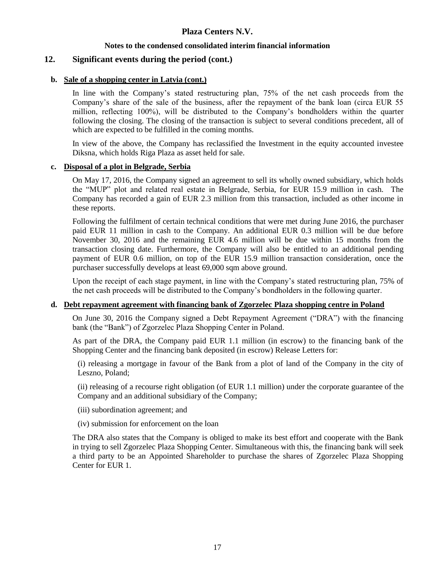## **Notes to the condensed consolidated interim financial information**

# **12. Significant events during the period (cont.)**

### **b. Sale of a shopping center in Latvia (cont.)**

In line with the Company's stated restructuring plan, 75% of the net cash proceeds from the Company's share of the sale of the business, after the repayment of the bank loan (circa EUR 55 million, reflecting 100%), will be distributed to the Company's bondholders within the quarter following the closing. The closing of the transaction is subject to several conditions precedent, all of which are expected to be fulfilled in the coming months.

In view of the above, the Company has reclassified the Investment in the equity accounted investee Diksna, which holds Riga Plaza as asset held for sale.

#### **c. Disposal of a plot in Belgrade, Serbia**

On May 17, 2016, the Company signed an agreement to sell its wholly owned subsidiary, which holds the "MUP" plot and related real estate in Belgrade, Serbia, for EUR 15.9 million in cash. The Company has recorded a gain of EUR 2.3 million from this transaction, included as other income in these reports.

Following the fulfilment of certain technical conditions that were met during June 2016, the purchaser paid EUR 11 million in cash to the Company. An additional EUR 0.3 million will be due before November 30, 2016 and the remaining EUR 4.6 million will be due within 15 months from the transaction closing date. Furthermore, the Company will also be entitled to an additional pending payment of EUR 0.6 million, on top of the EUR 15.9 million transaction consideration, once the purchaser successfully develops at least 69,000 sqm above ground.

Upon the receipt of each stage payment, in line with the Company's stated restructuring plan, 75% of the net cash proceeds will be distributed to the Company's bondholders in the following quarter.

### **d. Debt repayment agreement with financing bank of Zgorzelec Plaza shopping centre in Poland**

On June 30, 2016 the Company signed a Debt Repayment Agreement ("DRA") with the financing bank (the "Bank") of Zgorzelec Plaza Shopping Center in Poland.

As part of the DRA, the Company paid EUR 1.1 million (in escrow) to the financing bank of the Shopping Center and the financing bank deposited (in escrow) Release Letters for:

(i) releasing a mortgage in favour of the Bank from a plot of land of the Company in the city of Leszno, Poland;

(ii) releasing of a recourse right obligation (of EUR 1.1 million) under the corporate guarantee of the Company and an additional subsidiary of the Company;

- (iii) subordination agreement; and
- (iv) submission for enforcement on the loan

The DRA also states that the Company is obliged to make its best effort and cooperate with the Bank in trying to sell Zgorzelec Plaza Shopping Center. Simultaneous with this, the financing bank will seek a third party to be an Appointed Shareholder to purchase the shares of Zgorzelec Plaza Shopping Center for EUR 1.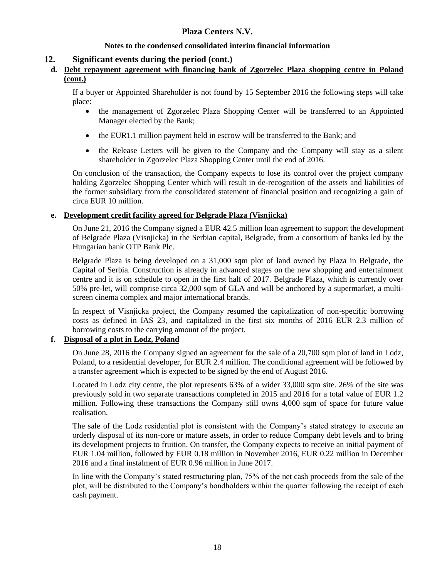# **Notes to the condensed consolidated interim financial information**

# **12. Significant events during the period (cont.)**

## **d. Debt repayment agreement with financing bank of Zgorzelec Plaza shopping centre in Poland (cont.)**

If a buyer or Appointed Shareholder is not found by 15 September 2016 the following steps will take place:

- the management of Zgorzelec Plaza Shopping Center will be transferred to an Appointed Manager elected by the Bank;
- the EUR1.1 million payment held in escrow will be transferred to the Bank; and
- the Release Letters will be given to the Company and the Company will stay as a silent shareholder in Zgorzelec Plaza Shopping Center until the end of 2016.

On conclusion of the transaction, the Company expects to lose its control over the project company holding Zgorzelec Shopping Center which will result in de-recognition of the assets and liabilities of the former subsidiary from the consolidated statement of financial position and recognizing a gain of circa EUR 10 million.

## **e. Development credit facility agreed for Belgrade Plaza (Visnjicka)**

On June 21, 2016 the Company signed a EUR 42.5 million loan agreement to support the development of Belgrade Plaza (Visnjicka) in the Serbian capital, Belgrade, from a consortium of banks led by the Hungarian bank OTP Bank Plc.

Belgrade Plaza is being developed on a 31,000 sqm plot of land owned by Plaza in Belgrade, the Capital of Serbia. Construction is already in advanced stages on the new shopping and entertainment centre and it is on schedule to open in the first half of 2017. Belgrade Plaza, which is currently over 50% pre-let, will comprise circa 32,000 sqm of GLA and will be anchored by a supermarket, a multiscreen cinema complex and major international brands.

In respect of Visnjicka project, the Company resumed the capitalization of non-specific borrowing costs as defined in IAS 23, and capitalized in the first six months of 2016 EUR 2.3 million of borrowing costs to the carrying amount of the project.

# **f. Disposal of a plot in Lodz, Poland**

On June 28, 2016 the Company signed an agreement for the sale of a 20,700 sqm plot of land in Lodz, Poland, to a residential developer, for EUR 2.4 million. The conditional agreement will be followed by a transfer agreement which is expected to be signed by the end of August 2016.

Located in Lodz city centre, the plot represents 63% of a wider 33,000 sqm site. 26% of the site was previously sold in two separate transactions completed in 2015 and 2016 for a total value of EUR 1.2 million. Following these transactions the Company still owns 4,000 sqm of space for future value realisation.

The sale of the Lodz residential plot is consistent with the Company's stated strategy to execute an orderly disposal of its non-core or mature assets, in order to reduce Company debt levels and to bring its development projects to fruition. On transfer, the Company expects to receive an initial payment of EUR 1.04 million, followed by EUR 0.18 million in November 2016, EUR 0.22 million in December 2016 and a final instalment of EUR 0.96 million in June 2017.

In line with the Company's stated restructuring plan, 75% of the net cash proceeds from the sale of the plot, will be distributed to the Company's bondholders within the quarter following the receipt of each cash payment.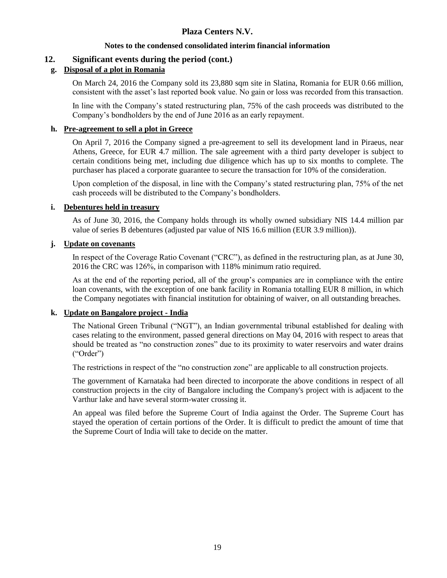## **Notes to the condensed consolidated interim financial information**

# **12. Significant events during the period (cont.)**

# **g. Disposal of a plot in Romania**

On March 24, 2016 the Company sold its 23,880 sqm site in Slatina, Romania for EUR 0.66 million, consistent with the asset's last reported book value. No gain or loss was recorded from this transaction.

In line with the Company's stated restructuring plan, 75% of the cash proceeds was distributed to the Company's bondholders by the end of June 2016 as an early repayment.

### **h. Pre-agreement to sell a plot in Greece**

On April 7, 2016 the Company signed a pre-agreement to sell its development land in Piraeus, near Athens, Greece, for EUR 4.7 million. The sale agreement with a third party developer is subject to certain conditions being met, including due diligence which has up to six months to complete. The purchaser has placed a corporate guarantee to secure the transaction for 10% of the consideration.

Upon completion of the disposal, in line with the Company's stated restructuring plan, 75% of the net cash proceeds will be distributed to the Company's bondholders.

## **i. Debentures held in treasury**

As of June 30, 2016, the Company holds through its wholly owned subsidiary NIS 14.4 million par value of series B debentures (adjusted par value of NIS 16.6 million (EUR 3.9 million)).

## **j. Update on covenants**

In respect of the Coverage Ratio Covenant ("CRC"), as defined in the restructuring plan, as at June 30, 2016 the CRC was 126%, in comparison with 118% minimum ratio required.

As at the end of the reporting period, all of the group's companies are in compliance with the entire loan covenants, with the exception of one bank facility in Romania totalling EUR 8 million, in which the Company negotiates with financial institution for obtaining of waiver, on all outstanding breaches.

### **k. Update on Bangalore project - India**

The National Green Tribunal ("NGT"), an Indian governmental tribunal established for dealing with cases relating to the environment, passed general directions on May 04, 2016 with respect to areas that should be treated as "no construction zones" due to its proximity to water reservoirs and water drains ("Order")

The restrictions in respect of the "no construction zone" are applicable to all construction projects.

The government of Karnataka had been directed to incorporate the above conditions in respect of all construction projects in the city of Bangalore including the Company's project with is adjacent to the Varthur lake and have several storm-water crossing it.

An appeal was filed before the Supreme Court of India against the Order. The Supreme Court has stayed the operation of certain portions of the Order. It is difficult to predict the amount of time that the Supreme Court of India will take to decide on the matter.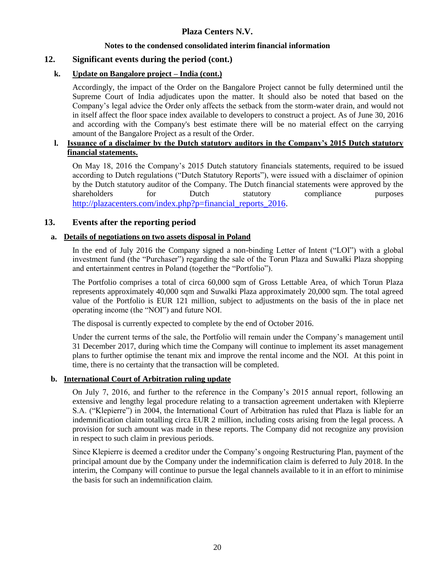# **Notes to the condensed consolidated interim financial information**

# **12. Significant events during the period (cont.)**

## **k. Update on Bangalore project – India (cont.)**

Accordingly, the impact of the Order on the Bangalore Project cannot be fully determined until the Supreme Court of India adjudicates upon the matter. It should also be noted that based on the Company's legal advice the Order only affects the setback from the storm-water drain, and would not in itself affect the floor space index available to developers to construct a project. As of June 30, 2016 and according with the Company's best estimate there will be no material effect on the carrying amount of the Bangalore Project as a result of the Order.

# **l. Issuance of a disclaimer by the Dutch statutory auditors in the Company's 2015 Dutch statutory financial statements.**

On May 18, 2016 the Company's 2015 Dutch statutory financials statements, required to be issued according to Dutch regulations ("Dutch Statutory Reports"), were issued with a disclaimer of opinion by the Dutch statutory auditor of the Company. The Dutch financial statements were approved by the shareholders for Dutch statutory compliance purposes [http://plazacenters.com/index.php?p=financial\\_reports\\_2016.](http://plazacenters.com/index.php?p=financial_reports_2016)

## **13. Events after the reporting period**

## **a. Details of negotiations on two assets disposal in Poland**

In the end of July 2016 the Company signed a non-binding Letter of Intent ("LOI") with a global investment fund (the "Purchaser") regarding the sale of the Torun Plaza and Suwałki Plaza shopping and entertainment centres in Poland (together the "Portfolio").

The Portfolio comprises a total of circa 60,000 sqm of Gross Lettable Area, of which Torun Plaza represents approximately 40,000 sqm and Suwalki Plaza approximately 20,000 sqm. The total agreed value of the Portfolio is EUR 121 million, subject to adjustments on the basis of the in place net operating income (the "NOI") and future NOI.

The disposal is currently expected to complete by the end of October 2016.

Under the current terms of the sale, the Portfolio will remain under the Company's management until 31 December 2017, during which time the Company will continue to implement its asset management plans to further optimise the tenant mix and improve the rental income and the NOI. At this point in time, there is no certainty that the transaction will be completed.

## **b. International Court of Arbitration ruling update**

On July 7, 2016, and further to the reference in the Company's 2015 annual report, following an extensive and lengthy legal procedure relating to a transaction agreement undertaken with Klepierre S.A. ("Klepierre") in 2004, the International Court of Arbitration has ruled that Plaza is liable for an indemnification claim totalling circa EUR 2 million, including costs arising from the legal process. A provision for such amount was made in these reports. The Company did not recognize any provision in respect to such claim in previous periods.

Since Klepierre is deemed a creditor under the Company's ongoing Restructuring Plan, payment of the principal amount due by the Company under the indemnification claim is deferred to July 2018. In the interim, the Company will continue to pursue the legal channels available to it in an effort to minimise the basis for such an indemnification claim.